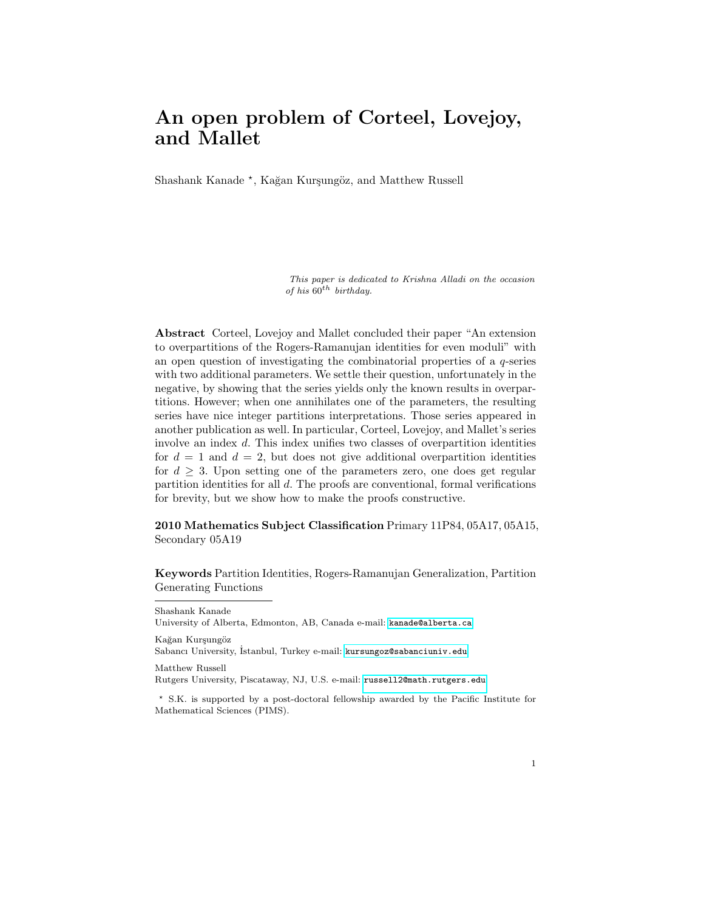# An open problem of Corteel, Lovejoy, and Mallet

Shashank Kanade<sup>\*</sup>, Kağan Kurşungöz, and Matthew Russell

This paper is dedicated to Krishna Alladi on the occasion of his  $60^{th}$  birthday.

Abstract Corteel, Lovejoy and Mallet concluded their paper "An extension to overpartitions of the Rogers-Ramanujan identities for even moduli" with an open question of investigating the combinatorial properties of a q-series with two additional parameters. We settle their question, unfortunately in the negative, by showing that the series yields only the known results in overpartitions. However; when one annihilates one of the parameters, the resulting series have nice integer partitions interpretations. Those series appeared in another publication as well. In particular, Corteel, Lovejoy, and Mallet's series involve an index d. This index unifies two classes of overpartition identities for  $d = 1$  and  $d = 2$ , but does not give additional overpartition identities for  $d \geq 3$ . Upon setting one of the parameters zero, one does get regular partition identities for all d. The proofs are conventional, formal verifications for brevity, but we show how to make the proofs constructive.

2010 Mathematics Subject Classification Primary 11P84, 05A17, 05A15, Secondary 05A19

Keywords Partition Identities, Rogers-Ramanujan Generalization, Partition Generating Functions

Shashank Kanade University of Alberta, Edmonton, AB, Canada e-mail: <kanade@alberta.ca> Kağan Kurşungöz

Sabancı University, İstanbul, Turkey e-mail: <kursungoz@sabanciuniv.edu>

Matthew Russell

Rutgers University, Piscataway, NJ, U.S. e-mail: <russell2@math.rutgers.edu>

<sup>?</sup> S.K. is supported by a post-doctoral fellowship awarded by the Pacific Institute for Mathematical Sciences (PIMS).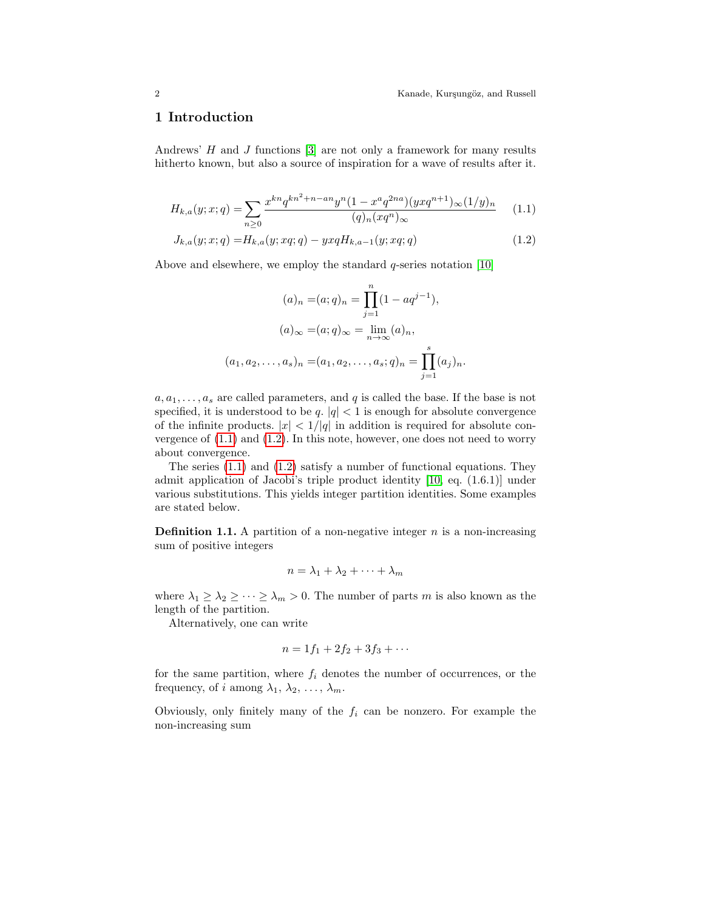#### 1 Introduction

Andrews'  $H$  and  $J$  functions  $[3]$  are not only a framework for many results hitherto known, but also a source of inspiration for a wave of results after it.

$$
H_{k,a}(y;x;q) = \sum_{n\geq 0} \frac{x^{kn} q^{kn^2 + n - an} y^n (1 - x^a q^{2na})(yxq^{n+1})_\infty (1/y)_n}{(q)_n (xq^n)_\infty} \tag{1.1}
$$
  

$$
J_{k,a}(y;x;q) = H_{k,a}(y;xq;q) - yxqH_{k,a-1}(y;xq;q) \tag{1.2}
$$

Above and elsewhere, we employ the standard  $q$ -series notation [\[10\]](#page-26-0)

<span id="page-1-1"></span><span id="page-1-0"></span>
$$
(a)_n = (a;q)_n = \prod_{j=1}^n (1 - aq^{j-1}),
$$
  
\n
$$
(a)_{\infty} = (a;q)_{\infty} = \lim_{n \to \infty} (a)_n,
$$
  
\n
$$
(a_1, a_2, \dots, a_s)_n = (a_1, a_2, \dots, a_s; q)_n = \prod_{j=1}^s (a_j)_n.
$$

 $a, a_1, \ldots, a_s$  are called parameters, and q is called the base. If the base is not specified, it is understood to be  $q, |q| < 1$  is enough for absolute convergence of the infinite products.  $|x| < 1/|q|$  in addition is required for absolute convergence of  $(1.1)$  and  $(1.2)$ . In this note, however, one does not need to worry about convergence.

The series [\(1.1\)](#page-1-0) and [\(1.2\)](#page-1-1) satisfy a number of functional equations. They admit application of Jacobi's triple product identity [\[10,](#page-26-0) eq. (1.6.1)] under various substitutions. This yields integer partition identities. Some examples are stated below.

**Definition 1.1.** A partition of a non-negative integer  $n$  is a non-increasing sum of positive integers

$$
n = \lambda_1 + \lambda_2 + \dots + \lambda_m
$$

where  $\lambda_1 \geq \lambda_2 \geq \cdots \geq \lambda_m > 0$ . The number of parts m is also known as the length of the partition.

Alternatively, one can write

$$
n = 1f_1 + 2f_2 + 3f_3 + \cdots
$$

for the same partition, where  $f_i$  denotes the number of occurrences, or the frequency, of i among  $\lambda_1, \lambda_2, \ldots, \lambda_m$ .

Obviously, only finitely many of the  $f_i$  can be nonzero. For example the non-increasing sum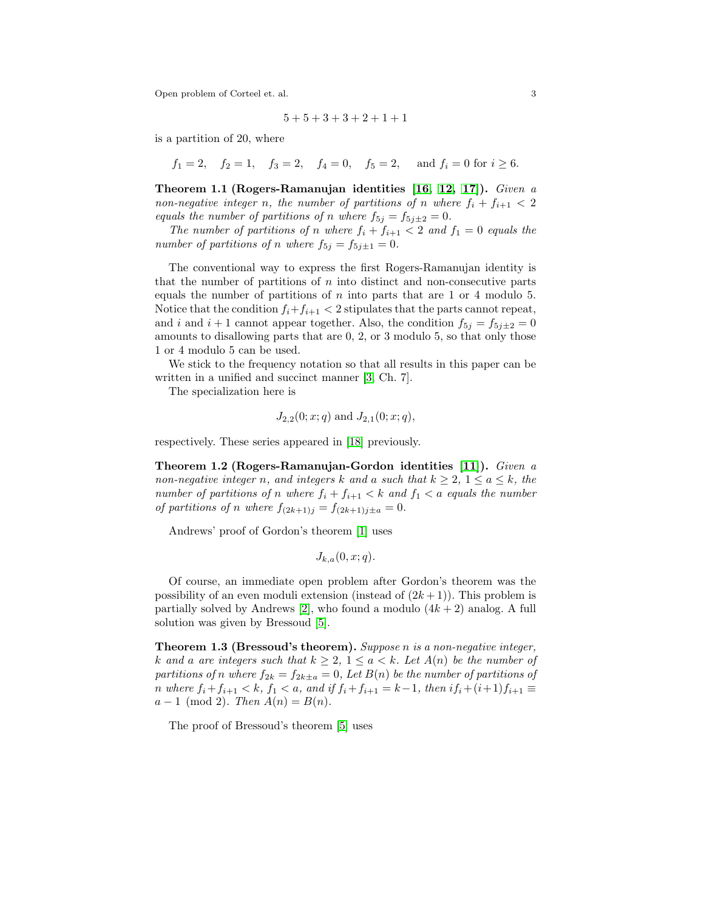$$
5+5+3+3+2+1+1
$$

is a partition of 20, where

 $f_1 = 2$ ,  $f_2 = 1$ ,  $f_3 = 2$ ,  $f_4 = 0$ ,  $f_5 = 2$ , and  $f_i = 0$  for  $i \ge 6$ .

Theorem 1.1 (Rogers-Ramanujan identities [\[16,](#page-26-1) [12,](#page-26-2) [17\]](#page-26-3)). Given a non-negative integer n, the number of partitions of n where  $f_i + f_{i+1} < 2$ equals the number of partitions of n where  $f_{5j} = f_{5j\pm 2} = 0$ .

The number of partitions of n where  $f_i + f_{i+1} < 2$  and  $f_1 = 0$  equals the number of partitions of n where  $f_{5j} = f_{5j\pm 1} = 0$ .

The conventional way to express the first Rogers-Ramanujan identity is that the number of partitions of  $n$  into distinct and non-consecutive parts equals the number of partitions of  $n$  into parts that are 1 or 4 modulo 5. Notice that the condition  $f_i+f_{i+1} < 2$  stipulates that the parts cannot repeat, and i and  $i + 1$  cannot appear together. Also, the condition  $f_{5i} = f_{5i\pm2} = 0$ amounts to disallowing parts that are 0, 2, or 3 modulo 5, so that only those 1 or 4 modulo 5 can be used.

We stick to the frequency notation so that all results in this paper can be written in a unified and succinct manner [\[3,](#page-25-0) Ch. 7].

The specialization here is

$$
J_{2,2}(0; x; q)
$$
 and  $J_{2,1}(0; x; q)$ ,

respectively. These series appeared in [\[18\]](#page-26-4) previously.

Theorem 1.2 (Rogers-Ramanujan-Gordon identities [\[11\]](#page-26-5)). Given a non-negative integer n, and integers k and a such that  $k \geq 2$ ,  $1 \leq a \leq k$ , the number of partitions of n where  $f_i + f_{i+1} < k$  and  $f_1 < a$  equals the number of partitions of n where  $f_{(2k+1)j} = f_{(2k+1)j\pm a} = 0$ .

Andrews' proof of Gordon's theorem [\[1\]](#page-25-1) uses

$$
J_{k,a}(0,x;q).
$$

Of course, an immediate open problem after Gordon's theorem was the possibility of an even moduli extension (instead of  $(2k+1)$ ). This problem is partially solved by Andrews [\[2\]](#page-25-2), who found a modulo  $(4k+2)$  analog. A full solution was given by Bressoud [\[5\]](#page-26-6).

<span id="page-2-0"></span>Theorem 1.3 (Bressoud's theorem). Suppose n is a non-negative integer, k and a are integers such that  $k \geq 2$ ,  $1 \leq a \leq k$ . Let  $A(n)$  be the number of partitions of n where  $f_{2k} = f_{2k\pm a} = 0$ , Let  $B(n)$  be the number of partitions of n where  $f_i + f_{i+1} < k$ ,  $f_1 < a$ , and if  $f_i + f_{i+1} = k-1$ , then i $f_i + (i+1)f_{i+1} \equiv$  $a - 1 \pmod{2}$ . Then  $A(n) = B(n)$ .

The proof of Bressoud's theorem [\[5\]](#page-26-6) uses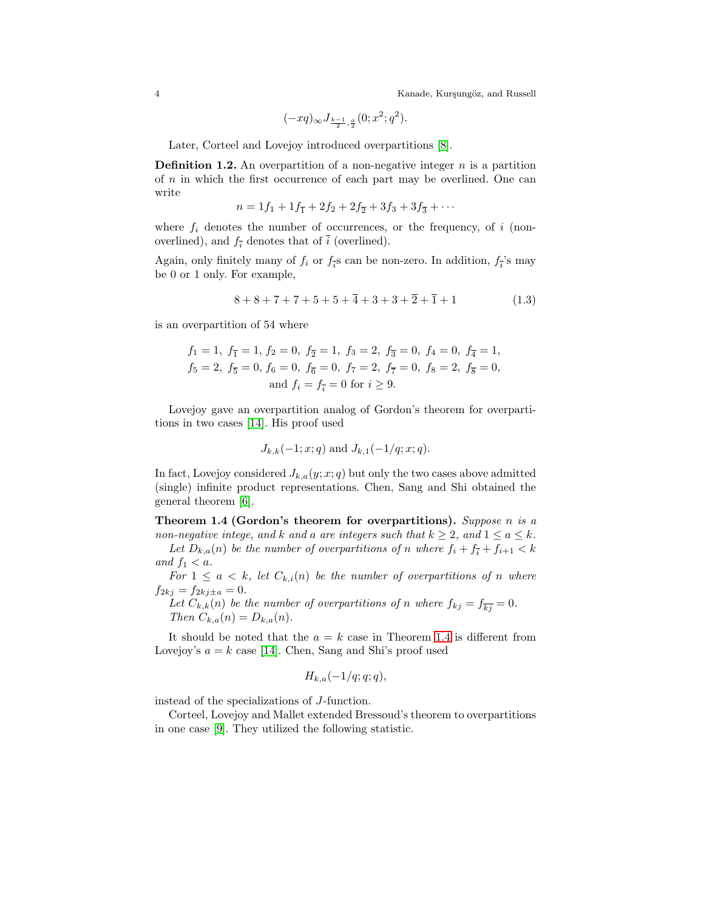$$
(-xq)_{\infty}J_{\frac{k-1}{2},\frac{a}{2}}(0;x^2;q^2).
$$

Later, Corteel and Lovejoy introduced overpartitions [\[8\]](#page-26-7).

**Definition 1.2.** An overpartition of a non-negative integer  $n$  is a partition of n in which the first occurrence of each part may be overlined. One can write

$$
n = 1f_1 + 1f_{\overline{1}} + 2f_2 + 2f_{\overline{2}} + 3f_3 + 3f_{\overline{3}} + \cdots
$$

where  $f_i$  denotes the number of occurrences, or the frequency, of i (nonoverlined), and  $f_{\bar{i}}$  denotes that of  $\bar{i}$  (overlined).

Again, only finitely many of  $f_i$  or  $f_{\overline{i}}$ s can be non-zero. In addition,  $f_i$ 's may be 0 or 1 only. For example,

<span id="page-3-1"></span>
$$
8+8+7+7+5+5+\overline{4}+3+3+\overline{2}+\overline{1}+1 \qquad (1.3)
$$

is an overpartition of 54 where

$$
f_1 = 1
$$
,  $f_{\overline{1}} = 1$ ,  $f_2 = 0$ ,  $f_{\overline{2}} = 1$ ,  $f_3 = 2$ ,  $f_{\overline{3}} = 0$ ,  $f_4 = 0$ ,  $f_{\overline{4}} = 1$ ,  
\n $f_5 = 2$ ,  $f_{\overline{5}} = 0$ ,  $f_6 = 0$ ,  $f_{\overline{6}} = 0$ ,  $f_7 = 2$ ,  $f_{\overline{7}} = 0$ ,  $f_8 = 2$ ,  $f_{\overline{8}} = 0$ ,  
\nand  $f_i = f_{\overline{i}} = 0$  for  $i \ge 9$ .

Lovejoy gave an overpartition analog of Gordon's theorem for overpartitions in two cases [\[14\]](#page-26-8). His proof used

$$
J_{k,k}(-1; x; q)
$$
 and  $J_{k,1}(-1/q; x; q)$ .

In fact, Lovejoy considered  $J_{k,a}(y; x; q)$  but only the two cases above admitted (single) infinite product representations. Chen, Sang and Shi obtained the general theorem [\[6\]](#page-26-9).

<span id="page-3-0"></span>Theorem 1.4 (Gordon's theorem for overpartitions). Suppose n is a non-negative intege, and k and a are integers such that  $k \geq 2$ , and  $1 \leq a \leq k$ .

Let  $D_{k,a}(n)$  be the number of overpartitions of n where  $f_i + f_{\overline{i}} + f_{i+1} < k$ and  $f_1 < a$ .

For  $1 \leq a \leq k$ , let  $C_{k,i}(n)$  be the number of overpartitions of n where  $f_{2kj} = f_{2kj\pm a} = 0.$ 

Let  $C_{k,k}(n)$  be the number of overpartitions of n where  $f_{kj} = f_{\overline{k}j} = 0$ . Then  $C_{k,a}(n) = D_{k,a}(n)$ .

It should be noted that the  $a = k$  case in Theorem [1.4](#page-3-0) is different from Lovejoy's  $a = k$  case [\[14\]](#page-26-8). Chen, Sang and Shi's proof used

$$
H_{k,a}(-1/q;q;q),
$$

instead of the specializations of J-function.

Corteel, Lovejoy and Mallet extended Bressoud's theorem to overpartitions in one case [\[9\]](#page-26-10). They utilized the following statistic.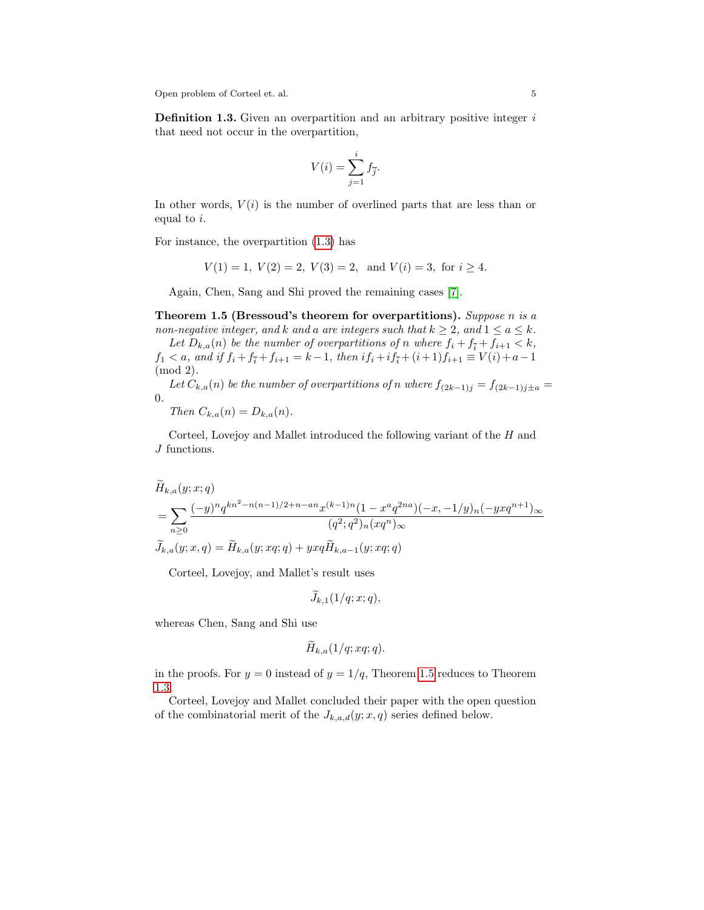**Definition 1.3.** Given an overpartition and an arbitrary positive integer  $i$ that need not occur in the overpartition,

$$
V(i) = \sum_{j=1}^{i} f_{\overline{j}}.
$$

In other words,  $V(i)$  is the number of overlined parts that are less than or equal to i.

For instance, the overpartition [\(1.3\)](#page-3-1) has

 $V(1) = 1, V(2) = 2, V(3) = 2, \text{ and } V(i) = 3, \text{ for } i > 4.$ 

Again, Chen, Sang and Shi proved the remaining cases [\[7\]](#page-26-11).

<span id="page-4-0"></span>Theorem 1.5 (Bressoud's theorem for overpartitions). Suppose n is a non-negative integer, and k and a are integers such that  $k \geq 2$ , and  $1 \leq a \leq k$ . Let  $D_{k,a}(n)$  be the number of overpartitions of n where  $f_i + f_{\overline{i}} + f_{i+1} < k$ ,  $f_1 < a$ , and if  $f_i + f_{\overline{i}} + f_{i+1} = k - 1$ , then  $if_i + if_{\overline{i}} + (i+1)f_{i+1} \equiv V(i) + a - 1$ (mod 2).

Let  $C_{k,a}(n)$  be the number of overpartitions of n where  $f_{(2k-1)j} = f_{(2k-1)j\pm a}$ 0.

Then  $C_{k,a}(n) = D_{k,a}(n)$ .

Corteel, Lovejoy and Mallet introduced the following variant of the H and J functions.

$$
\widetilde{H}_{k,a}(y;x;q)
$$
\n
$$
= \sum_{n\geq 0} \frac{(-y)^n q^{kn^2 - n(n-1)/2 + n - an} x^{(k-1)n} (1 - x^a q^{2na}) (-x, -1/y)_n (-yx q^{n+1})_\infty}{(q^2; q^2)_n (xq^n)_\infty}
$$
\n
$$
\widetilde{J}_{k,a}(y;x,q) = \widetilde{H}_{k,a}(y;xq;q) + yxq \widetilde{H}_{k,a-1}(y;xq;q)
$$

Corteel, Lovejoy, and Mallet's result uses

$$
\widetilde{J}_{k,1}(1/q;x;q),
$$

whereas Chen, Sang and Shi use

$$
H_{k,a}(1/q; xq; q).
$$

in the proofs. For  $y = 0$  instead of  $y = 1/q$ , Theorem [1.5](#page-4-0) reduces to Theorem [1.3.](#page-2-0)

Corteel, Lovejoy and Mallet concluded their paper with the open question of the combinatorial merit of the  $J_{k,a,d}(y; x, q)$  series defined below.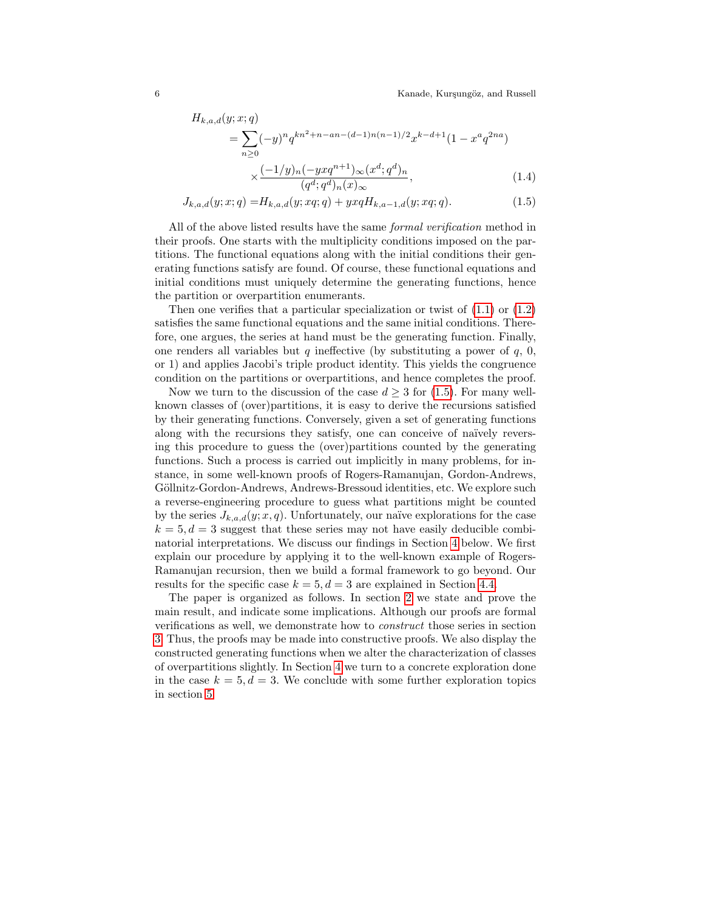<span id="page-5-1"></span><span id="page-5-0"></span>
$$
H_{k,a,d}(y;x;q)
$$
  
= 
$$
\sum_{n\geq 0} (-y)^n q^{kn^2+n-an-(d-1)n(n-1)/2} x^{k-d+1} (1 - x^a q^{2na})
$$
  

$$
\times \frac{(-1/y)_n (-yxq^{n+1})_\infty (x^d;q^d)_n}{(q^d;q^d)_n(x)_\infty},
$$
 (1.4)

$$
J_{k,a,d}(y;x;q) = H_{k,a,d}(y;xq;q) + yxqH_{k,a-1,d}(y;xq;q).
$$
\n(1.5)

All of the above listed results have the same *formal verification* method in their proofs. One starts with the multiplicity conditions imposed on the partitions. The functional equations along with the initial conditions their generating functions satisfy are found. Of course, these functional equations and initial conditions must uniquely determine the generating functions, hence the partition or overpartition enumerants.

Then one verifies that a particular specialization or twist of  $(1.1)$  or  $(1.2)$ satisfies the same functional equations and the same initial conditions. Therefore, one argues, the series at hand must be the generating function. Finally, one renders all variables but q ineffective (by substituting a power of  $q$ , 0, or 1) and applies Jacobi's triple product identity. This yields the congruence condition on the partitions or overpartitions, and hence completes the proof.

Now we turn to the discussion of the case  $d \geq 3$  for [\(1.5\)](#page-5-0). For many wellknown classes of (over)partitions, it is easy to derive the recursions satisfied by their generating functions. Conversely, given a set of generating functions along with the recursions they satisfy, one can conceive of naïvely reversing this procedure to guess the (over)partitions counted by the generating functions. Such a process is carried out implicitly in many problems, for instance, in some well-known proofs of Rogers-Ramanujan, Gordon-Andrews, Göllnitz-Gordon-Andrews, Andrews-Bressoud identities, etc. We explore such a reverse-engineering procedure to guess what partitions might be counted by the series  $J_{k,a,d}(y; x, q)$ . Unfortunately, our naïve explorations for the case  $k = 5, d = 3$  suggest that these series may not have easily deducible combinatorial interpretations. We discuss our findings in Section [4](#page-19-0) below. We first explain our procedure by applying it to the well-known example of Rogers-Ramanujan recursion, then we build a formal framework to go beyond. Our results for the specific case  $k = 5, d = 3$  are explained in Section [4.4.](#page-23-0)

The paper is organized as follows. In section [2](#page-6-0) we state and prove the main result, and indicate some implications. Although our proofs are formal verifications as well, we demonstrate how to construct those series in section [3.](#page-13-0) Thus, the proofs may be made into constructive proofs. We also display the constructed generating functions when we alter the characterization of classes of overpartitions slightly. In Section [4](#page-19-0) we turn to a concrete exploration done in the case  $k = 5, d = 3$ . We conclude with some further exploration topics in section [5.](#page-25-3)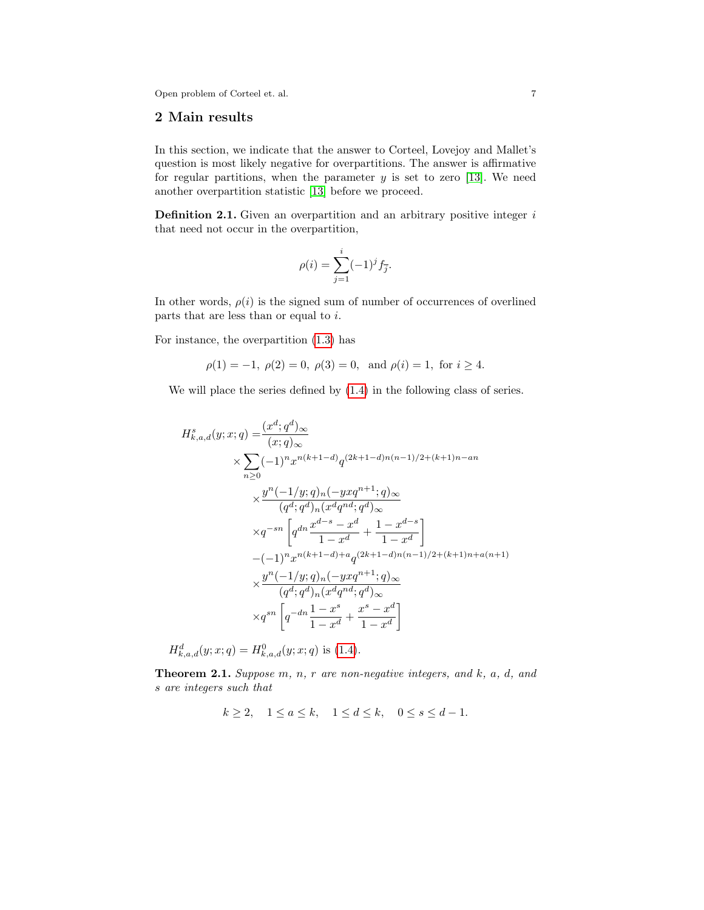### <span id="page-6-0"></span>2 Main results

In this section, we indicate that the answer to Corteel, Lovejoy and Mallet's question is most likely negative for overpartitions. The answer is affirmative for regular partitions, when the parameter  $y$  is set to zero [\[13\]](#page-26-12). We need another overpartition statistic [\[13\]](#page-26-12) before we proceed.

**Definition 2.1.** Given an overpartition and an arbitrary positive integer  $i$ that need not occur in the overpartition,

$$
\rho(i) = \sum_{j=1}^{i} (-1)^j f_{\overline{j}}.
$$

In other words,  $\rho(i)$  is the signed sum of number of occurrences of overlined parts that are less than or equal to  $i$ .

For instance, the overpartition [\(1.3\)](#page-3-1) has

$$
\rho(1) = -1
$$
,  $\rho(2) = 0$ ,  $\rho(3) = 0$ , and  $\rho(i) = 1$ , for  $i \ge 4$ .

We will place the series defined by [\(1.4\)](#page-5-1) in the following class of series.

$$
H_{k,a,d}^{s}(y;x;q) = \frac{(x^{d};q^{d})_{\infty}}{(x;q)_{\infty}}
$$
  
\n
$$
\times \sum_{n\geq 0} (-1)^{n} x^{n(k+1-d)} q^{(2k+1-d)n(n-1)/2 + (k+1)n - an}
$$
  
\n
$$
\times \frac{y^{n}(-1/y;q)_{n}(-yxq^{n+1};q)_{\infty}}{(q^{d};q^{d})_{n}(x^{d}q^{nd};q^{d})_{\infty}}
$$
  
\n
$$
\times q^{-sn} \left[q^{dn} \frac{x^{d-s} - x^{d}}{1 - x^{d}} + \frac{1 - x^{d-s}}{1 - x^{d}}\right]
$$
  
\n
$$
-(-1)^{n} x^{n(k+1-d)+a} q^{(2k+1-d)n(n-1)/2 + (k+1)n + a(n+1)}
$$
  
\n
$$
\times \frac{y^{n}(-1/y;q)_{n}(-yxq^{n+1};q)_{\infty}}{(q^{d};q^{d})_{n}(x^{d}q^{nd};q^{d})_{\infty}}
$$
  
\n
$$
\times q^{sn} \left[q^{-dn} \frac{1 - x^{s}}{1 - x^{d}} + \frac{x^{s} - x^{d}}{1 - x^{d}}\right]
$$

$$
H_{k,a,d}^d(y;x;q) = H_{k,a,d}^0(y;x;q)
$$
 is (1.4).

<span id="page-6-1"></span>**Theorem 2.1.** Suppose  $m, n, r$  are non-negative integers, and  $k, a, d, and$ s are integers such that

$$
k \ge 2, \quad 1 \le a \le k, \quad 1 \le d \le k, \quad 0 \le s \le d - 1.
$$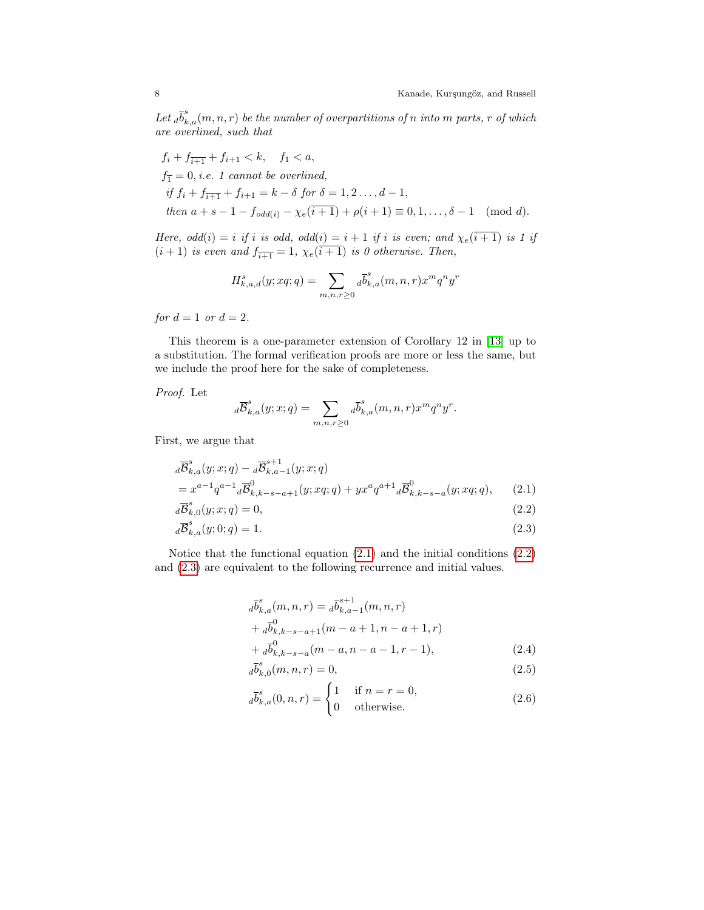Let  $_{d}\overline{b}_{k,a}^{s}(m,n,r)$  be the number of overpartitions of n into m parts, r of which are overlined, such that

$$
f_i + f_{\overline{i+1}} + f_{i+1} < k, \quad f_1 < a,
$$
\n
$$
f_{\overline{1}} = 0, \text{ i.e. } 1 \text{ cannot be overlined,}
$$
\n
$$
if \ f_i + f_{\overline{i+1}} + f_{i+1} = k - \delta \text{ for } \delta = 1, 2 \dots, d - 1,
$$
\n
$$
then \ a + s - 1 - f_{\text{odd}(i)} - \chi_e(\overline{i+1}) + \rho(i+1) \equiv 0, 1, \dots, \delta - 1 \pmod{d}.
$$

Here,  $odd(i) = i$  if i is odd,  $odd(i) = i + 1$  if i is even; and  $\chi_e(i+1)$  is 1 if  $(i+1)$  is even and  $f_{\overline{i+1}} = 1$ ,  $\chi_e(\overline{i+1})$  is 0 otherwise. Then,

$$
H^s_{k,a,d}(y;xq;q)=\sum_{m,n,r\geq 0}d\overline{b}^s_{k,a}(m,n,r)x^mq^ny^r
$$

for  $d = 1$  or  $d = 2$ .

This theorem is a one-parameter extension of Corollary 12 in [\[13\]](#page-26-12) up to a substitution. The formal verification proofs are more or less the same, but we include the proof here for the sake of completeness.

Proof. Let

<span id="page-7-0"></span>
$$
d\overline{\mathcal{B}}_{k,a}^s(y;x;q)=\sum_{m,n,r\geq 0}d\overline{b}_{k,a}^s(m,n,r)x^mq^ny^r.
$$

First, we argue that

$$
d\overline{B}_{k,a}^{s}(y;x;q) - d\overline{B}_{k,a-1}^{s+1}(y;x;q)
$$
  
=  $x^{a-1}q^{a-1}d\overline{B}_{k,k-s-a+1}^{0}(y;xq;q) + yx^{a}q^{a+1}d\overline{B}_{k,k-s-a}^{0}(y;xq;q),$  (2.1)

$$
d\overline{\mathcal{B}}_{k,0}^s(y;x;q) = 0,\t\t(2.2)
$$

$$
d\overline{\mathcal{B}}_{k,a}^s(y;0;q) = 1.
$$
\n
$$
(2.3)
$$

Notice that the functional equation [\(2.1\)](#page-7-0) and the initial conditions [\(2.2\)](#page-7-1) and [\(2.3\)](#page-7-2) are equivalent to the following recurrence and initial values.

<span id="page-7-2"></span><span id="page-7-1"></span>
$$
d\overline{b}_{k,a}^{s}(m,n,r) = d\overline{b}_{k,a-1}^{s+1}(m,n,r)
$$
  
+ 
$$
d\overline{b}_{k,k-s-a+1}^{0}(m-a+1,n-a+1,r)
$$
  
+ 
$$
d\overline{b}_{k,k-s-a}^{0}(m-a,n-a-1,r-1),
$$
 (2.4)

<span id="page-7-5"></span><span id="page-7-3"></span>
$$
d\overline{b}_{k,0}^{s}(m,n,r) = 0,
$$
\n(2.5)

<span id="page-7-4"></span>
$$
d\overline{b}_{k,a}^{s}(0,n,r) = \begin{cases} 1 & \text{if } n=r=0, \\ 0 & \text{otherwise.} \end{cases}
$$
 (2.6)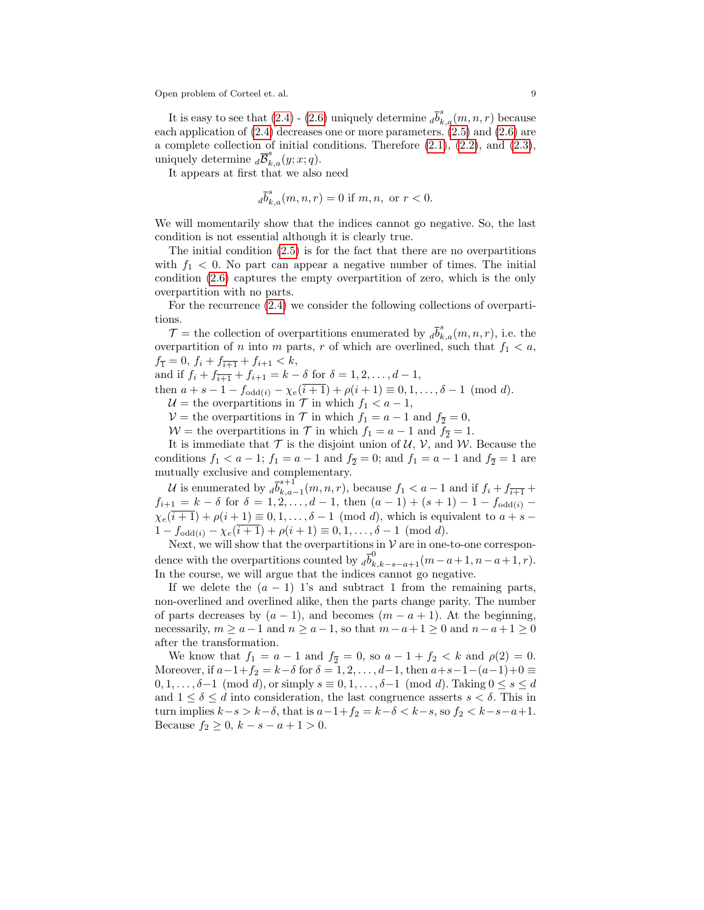It is easy to see that  $(2.4)$  -  $(2.6)$  uniquely determine  $_{d}$  $\overline{b}_{k,a}^{s}(m,n,r)$  because each application of [\(2.4\)](#page-7-3) decreases one or more parameters. [\(2.5\)](#page-7-5) and [\(2.6\)](#page-7-4) are a complete collection of initial conditions. Therefore [\(2.1\)](#page-7-0), [\(2.2\)](#page-7-1), and [\(2.3\)](#page-7-2), uniquely determine  $\overline{d} \overline{\mathcal{B}}_{k,a}^s(y; x; q)$ .

It appears at first that we also need

$$
d\overline{b}_{k,a}^{s}(m, n, r) = 0 \text{ if } m, n, \text{ or } r < 0.
$$

We will momentarily show that the indices cannot go negative. So, the last condition is not essential although it is clearly true.

The initial condition [\(2.5\)](#page-7-5) is for the fact that there are no overpartitions with  $f_1 < 0$ . No part can appear a negative number of times. The initial condition [\(2.6\)](#page-7-4) captures the empty overpartition of zero, which is the only overpartition with no parts.

For the recurrence [\(2.4\)](#page-7-3) we consider the following collections of overpartitions.

 $\mathcal{T} =$  the collection of overpartitions enumerated by  $_{d} \overline{b}_{k,a}^{s}(m,n,r)$ , i.e. the overpartition of n into m parts, r of which are overlined, such that  $f_1 < a$ ,  $f_{\overline{1}} = 0, f_i + f_{\overline{i+1}} + f_{i+1} < k,$ 

and if  $f_i + f_{i+1} - f_{i+1} = k - \delta$  for  $\delta = 1, 2, ..., d - 1$ ,

then  $a + s - 1 - f_{\text{odd}(i)} - \chi_e(\overline{i+1}) + \rho(i+1) \equiv 0, 1, \ldots, \delta - 1 \pmod{d}$ .

 $U =$  the overpartitions in  $T$  in which  $f_1 < a - 1$ ,

 $V =$  the overpartitions in T in which  $f_1 = a - 1$  and  $f_2 = 0$ ,

 $W =$  the overpartitions in  $\mathcal T$  in which  $f_1 = a - 1$  and  $f_{\overline{2}} = 1$ .

It is immediate that  $T$  is the disjoint union of  $U, V$ , and  $W$ . Because the conditions  $f_1 < a - 1$ ;  $f_1 = a - 1$  and  $f_2 = 0$ ; and  $f_1 = a - 1$  and  $f_2 = 1$  are mutually exclusive and complementary.

U is enumerated by  $d\overline{b}_{k,a}^{s+1}$  $k_{k,a-1}(m, n, r)$ , because  $f_1 < a-1$  and if  $f_i + f_{\overline{i+1}} + f_{\overline{i+1}}$  $f_{i+1} = k - \delta$  for  $\delta = 1, 2, ..., d - 1$ , then  $(a - 1) + (s + 1) - 1 - f_{odd(i)}$  $\chi_e(\overline{i+1}) + \rho(i+1) \equiv 0,1,\ldots,\delta-1 \pmod{d}$ , which is equivalent to  $a+s$  $1 - f_{\text{odd}(i)} - \chi_e(i+1) + \rho(i+1) \equiv 0, 1, \ldots, \delta - 1 \pmod{d}.$ 

Next, we will show that the overpartitions in  $V$  are in one-to-one correspondence with the overpartitions counted by  $\overline{d}_{k,k-s-a+1}^{0}(m-a+1,n-a+1,r)$ . In the course, we will argue that the indices cannot go negative.

If we delete the  $(a - 1)$  1's and subtract 1 from the remaining parts, non-overlined and overlined alike, then the parts change parity. The number of parts decreases by  $(a-1)$ , and becomes  $(m-a+1)$ . At the beginning, necessarily,  $m \ge a-1$  and  $n \ge a-1$ , so that  $m-a+1 \ge 0$  and  $n-a+1 \ge 0$ after the transformation.

We know that  $f_1 = a - 1$  and  $f_2 = 0$ , so  $a - 1 + f_2 < k$  and  $\rho(2) = 0$ . Moreover, if  $a-1+f_2 = k-\delta$  for  $\delta = 1, 2, ..., d-1$ , then  $a+s-1-(a-1)+0 \equiv$  $0, 1, \ldots, \delta-1 \pmod{d}$ , or simply  $s \equiv 0, 1, \ldots, \delta-1 \pmod{d}$ . Taking  $0 \le s \le d$ and  $1 \leq \delta \leq d$  into consideration, the last congruence asserts  $s < \delta$ . This in turn implies  $k-s > k-\delta$ , that is  $a-1+f_2 = k-\delta < k-s$ , so  $f_2 < k-s-a+1$ . Because  $f_2 \geq 0, k - s - a + 1 > 0$ .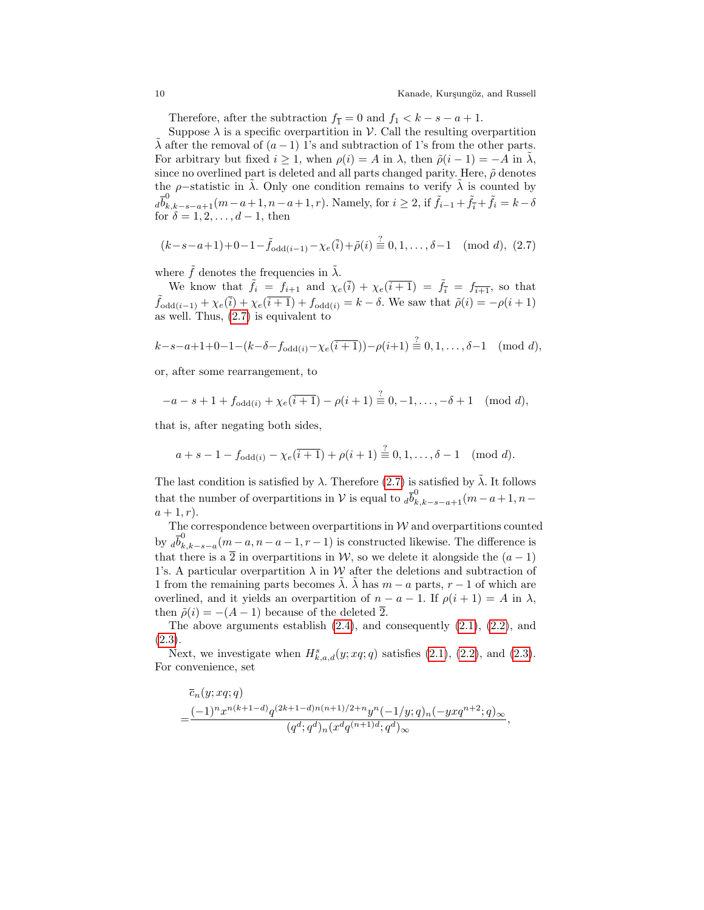Therefore, after the subtraction  $f_{\overline{1}} = 0$  and  $f_1 < k - s - a + 1$ .

Suppose  $\lambda$  is a specific overpartition in  $\mathcal V$ . Call the resulting overpartition  $\lambda$  after the removal of  $(a - 1)$  1's and subtraction of 1's from the other parts. For arbitrary but fixed  $i \geq 1$ , when  $\rho(i) = A$  in  $\lambda$ , then  $\tilde{\rho}(i-1) = -A$  in  $\lambda$ , since no overlined part is deleted and all parts changed parity. Here,  $\tilde{\rho}$  denotes the  $\rho$ -statistic in  $\lambda$ . Only one condition remains to verify  $\lambda$  is counted by  $d\overline{b}^0_{k,k-s-a+1}(m-a+1,n-a+1,r)$ . Namely, for  $i \geq 2$ , if  $\tilde{f}_{i-1} + \tilde{f}_{\bar{i}} + \tilde{f}_i = k-\delta$ for  $\delta = 1, 2, \ldots, d-1$ , then

<span id="page-9-0"></span>
$$
(k-s-a+1)+0-1-\tilde{f}_{\text{odd}(i-1)}-\chi_e(\bar{i})+\tilde{\rho}(i)\stackrel{?}{\equiv}0,1,\ldots,\delta-1\pmod{d},\ (2.7)
$$

where  $\tilde{f}$  denotes the frequencies in  $\tilde{\lambda}$ .

We know that  $\tilde{f}_i = f_{i+1}$  and  $\chi_e(\overline{i}) + \chi_e(\overline{i+1}) = \tilde{f}_{\overline{i}} = f_{\overline{i+1}}$ , so that  $\tilde{f}_{\text{odd}(i-1)} + \chi_e(\overline{i}) + \chi_e(\overline{i+1}) + f_{\text{odd}(i)} = k - \delta$ . We saw that  $\tilde{\rho}(i) = -\rho(i+1)$ as well. Thus, [\(2.7\)](#page-9-0) is equivalent to

$$
k-s-a+1+0-1-(k-\delta-f_{\text{odd}(i)}-\chi_e(\overline{i+1}))-\rho(i+1)\stackrel{?}{\equiv}0,1,\ldots,\delta-1\pmod{d},
$$

or, after some rearrangement, to

$$
-a - s + 1 + f_{\text{odd}(i)} + \chi_e(\overline{i+1}) - \rho(i+1) \stackrel{?}{=} 0, -1, \dots, -\delta + 1 \pmod{d},
$$

that is, after negating both sides,

$$
a + s - 1 - f_{\text{odd}(i)} - \chi_e(\overline{i+1}) + \rho(i+1) \stackrel{?}{=} 0, 1, \dots, \delta - 1 \pmod{d}.
$$

The last condition is satisfied by  $\lambda$ . Therefore [\(2.7\)](#page-9-0) is satisfied by  $\tilde{\lambda}$ . It follows that the number of overpartitions in V is equal to  $d\overline{b}^0_{k,k-s-a+1}(m-a+1,n-a)$  $a + 1, r$ ).

The correspondence between overpartitions in  $W$  and overpartitions counted by  $d\overline{b}_k^0$  $k,k-s-a$   $(m-a,n-a-1,r-1)$  is constructed likewise. The difference is that there is a  $\overline{2}$  in overpartitions in W, so we delete it alongside the  $(a-1)$ 1's. A particular overpartition  $\lambda$  in W after the deletions and subtraction of 1 from the remaining parts becomes  $\lambda$ .  $\lambda$  has  $m - a$  parts,  $r - 1$  of which are overlined, and it yields an overpartition of  $n - a - 1$ . If  $\rho(i + 1) = A$  in  $\lambda$ , then  $\tilde{\rho}(i) = -(A-1)$  because of the deleted  $\overline{2}$ .

The above arguments establish  $(2.4)$ , and consequently  $(2.1)$ ,  $(2.2)$ , and [\(2.3\)](#page-7-2).

Next, we investigate when  $H_{k,a,d}^s(y; xq;q)$  satisfies [\(2.1\)](#page-7-0), [\(2.2\)](#page-7-1), and [\(2.3\)](#page-7-2). For convenience, set

$$
\bar{c}_n(y; xq;q) = \frac{(-1)^n x^{n(k+1-d)} q^{(2k+1-d)n(n+1)/2+n} y^n (-1/y;q)_n (-yxq^{n+2};q)_\infty}{(q^d;q^d)_n (x^d q^{(n+1)d};q^d)_\infty},
$$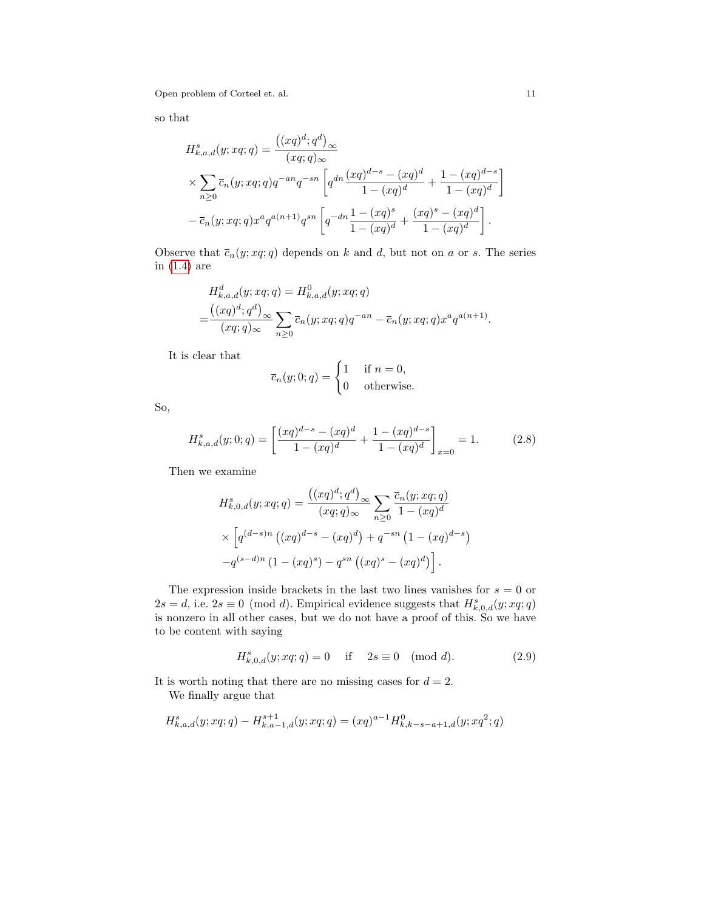so that

$$
H_{k,a,d}^{s}(y; xq;q) = \frac{((xq)^{d}; q^{d})_{\infty}}{(xq;q)_{\infty}}
$$
  
 
$$
\times \sum_{n\geq 0} \overline{c}_{n}(y; xq;q)q^{-an}q^{-sn} \left[q^{dn} \frac{(xq)^{d-s} - (xq)^{d}}{1 - (xq)^{d}} + \frac{1 - (xq)^{d-s}}{1 - (xq)^{d}} - \overline{c}_{n}(y; xq;q)x^{a}q^{a(n+1)}q^{sn} \left[q^{-dn} \frac{1 - (xq)^{s}}{1 - (xq)^{d}} + \frac{(xq)^{s} - (xq)^{d}}{1 - (xq)^{d}}\right].
$$

Observe that  $\overline{c}_n(y; xq; q)$  depends on k and d, but not on a or s. The series in [\(1.4\)](#page-5-1) are

$$
H_{k,a,d}^d(y; xq;q) = H_{k,a,d}^0(y; xq;q)
$$
  
= 
$$
\frac{((xq)^d; q^d)}{(xq;q)_{\infty}} \sum_{n \ge 0} \overline{c}_n(y; xq;q) q^{-an} - \overline{c}_n(y; xq;q) x^a q^{a(n+1)}.
$$

It is clear that

$$
\overline{c}_n(y;0;q) = \begin{cases} 1 & \text{if } n = 0, \\ 0 & \text{otherwise.} \end{cases}
$$

So,

<span id="page-10-1"></span>
$$
H_{k,a,d}^s(y;0;q) = \left[\frac{(xq)^{d-s} - (xq)^d}{1 - (xq)^d} + \frac{1 - (xq)^{d-s}}{1 - (xq)^d}\right]_{x=0} = 1.
$$
 (2.8)

Then we examine

$$
H_{k,0,d}^{s}(y; xq;q) = \frac{((xq)^{d}; q^{d})_{\infty}}{(xq;q)_{\infty}} \sum_{n \geq 0} \frac{\overline{c}_{n}(y; xq;q)}{1 - (xq)^{d}}
$$

$$
\times \left[ q^{(d-s)n} ((xq)^{d-s} - (xq)^{d}) + q^{-sn} (1 - (xq)^{d-s}) - q^{(s-d)n} (1 - (xq)^{s}) - q^{sn} ((xq)^{s} - (xq)^{d}) \right].
$$

The expression inside brackets in the last two lines vanishes for  $s = 0$  or  $2s = d$ , i.e.  $2s \equiv 0 \pmod{d}$ . Empirical evidence suggests that  $H_{k,0,d}^s(y; xq;q)$ is nonzero in all other cases, but we do not have a proof of this. So we have to be content with saying

<span id="page-10-0"></span>
$$
H_{k,0,d}^s(y; xq; q) = 0 \quad \text{if} \quad 2s \equiv 0 \pmod{d}.
$$
 (2.9)

It is worth noting that there are no missing cases for  $d = 2$ . We finally argue that

$$
H_{k,a,d}^s(y; xq;q) - H_{k,a-1,d}^{s+1}(y; xq;q) = (xq)^{a-1} H_{k,k-s-a+1,d}^0(y; xq^2;q)
$$

1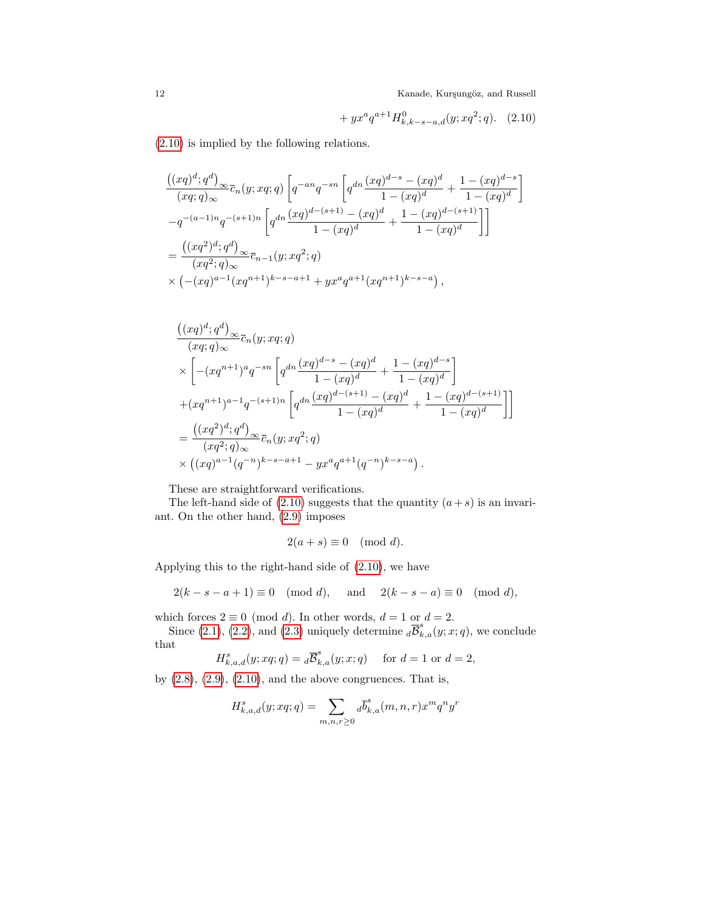<span id="page-11-0"></span>
$$
+ yx^a q^{a+1} H^0_{k,k-s-a,d}(y; xq^2; q).
$$
 (2.10)

[\(2.10\)](#page-11-0) is implied by the following relations.

$$
\frac{\left((xq)^d; q^d\right)_{\infty}}{(xq;q)_{\infty}} \overline{c}_n(y; xq; q) \left[q^{-an}q^{-sn} \left(q^{dn} \frac{(xq)^{d-s} - (xq)^d}{1 - (xq)^d} + \frac{1 - (xq)^{d-s}}{1 - (xq)^d}\right] \right]
$$
  

$$
-q^{-(a-1)n}q^{-(s+1)n} \left[q^{dn} \frac{(xq)^{d-(s+1)} - (xq)^d}{1 - (xq)^d} + \frac{1 - (xq)^{d-(s+1)}}{1 - (xq)^d}\right]
$$
  

$$
= \frac{\left((xq^2)^d; q^d\right)_{\infty}}{(xq^2; q)_{\infty}} \overline{c}_{n-1}(y; xq^2; q)
$$
  

$$
\times \left(-(xq)^{a-1}(xq^{n+1})^{k-s-a+1} + yx^a q^{a+1}(xq^{n+1})^{k-s-a}\right),
$$

$$
\frac{((xq)^d;q^d)_{\infty}}{(xq;q)_{\infty}}\overline{c}_n(y;xq;q)
$$
\n
$$
\times \left[ -(xq^{n+1})^aq^{-sn} \left[ q^{dn} \frac{(xq)^{d-s} - (xq)^d}{1 - (xq)^d} + \frac{1 - (xq)^{d-s}}{1 - (xq)^d} \right] \right.
$$
\n
$$
+ (xq^{n+1})^{a-1}q^{-(s+1)n} \left[ q^{dn} \frac{(xq)^{d-(s+1)} - (xq)^d}{1 - (xq)^d} + \frac{1 - (xq)^{d-(s+1)}}{1 - (xq)^d} \right]
$$
\n
$$
= \frac{((xq^2)^d;q^d)_{\infty}}{(xq^2;q)_{\infty}}\overline{c}_n(y;xq^2;q)
$$
\n
$$
\times ((xq)^{a-1}(q^{-n})^{k-s-a+1} - yx^aq^{a+1}(q^{-n})^{k-s-a}).
$$

These are straightforward verifications.

The left-hand side of  $(2.10)$  suggests that the quantity  $(a + s)$  is an invariant. On the other hand, [\(2.9\)](#page-10-0) imposes

$$
2(a+s) \equiv 0 \pmod{d}.
$$

Applying this to the right-hand side of [\(2.10\)](#page-11-0), we have

$$
2(k - s - a + 1) \equiv 0 \pmod{d}, \text{ and } 2(k - s - a) \equiv 0 \pmod{d},
$$

which forces  $2 \equiv 0 \pmod{d}$ . In other words,  $d = 1$  or  $d = 2$ .

Since [\(2.1\)](#page-7-0), [\(2.2\)](#page-7-1), and [\(2.3\)](#page-7-2) uniquely determine  $\overline{d\mathcal{B}}_{k,a}^s(y;x;q)$ , we conclude that

 $H_{k,a,d}^s(y; xq;q) = {}_d\overline{\mathcal{B}}_{k,a}^s(y; x;q)$  for  $d=1$  or  $d=2$ ,

by  $(2.8)$ ,  $(2.9)$ ,  $(2.10)$ , and the above congruences. That is,

$$
H_{k,a,d}^{s}(y; xq;q) = \sum_{m,n,r \geq 0} d\overline{b}_{k,a}^{s}(m,n,r) x^{m} q^{n} y^{r}
$$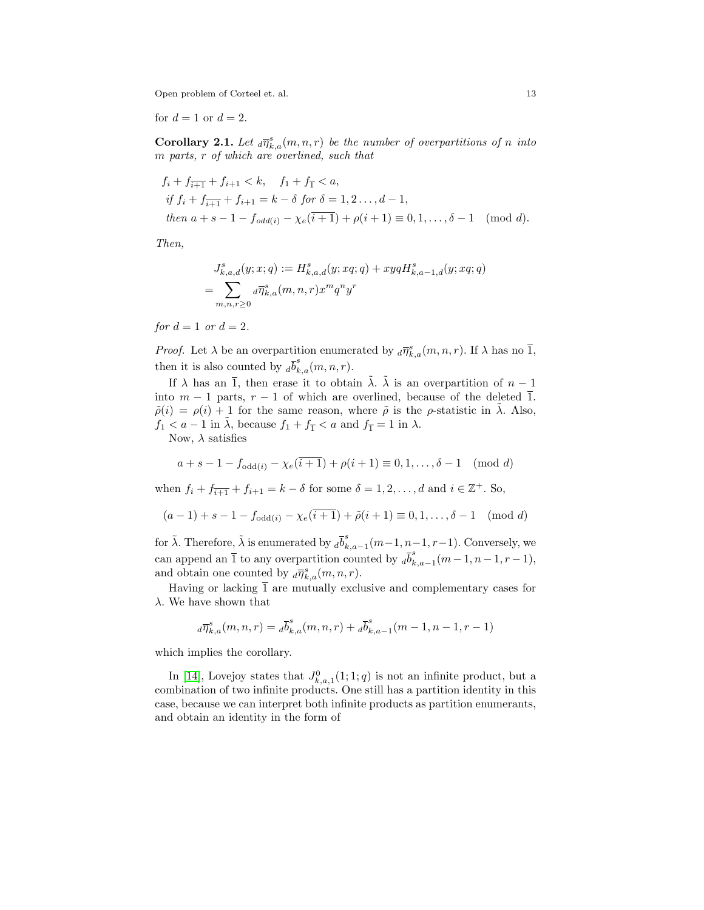for  $d = 1$  or  $d = 2$ .

<span id="page-12-0"></span>**Corollary 2.1.** Let  $_d\overline{\eta}_{k,a}^s(m,n,r)$  be the number of overpartitions of n into m parts, r of which are overlined, such that

$$
f_i + f_{\overline{i+1}} + f_{i+1} < k, \quad f_1 + f_{\overline{1}} < a,
$$
\n
$$
if \ f_i + f_{\overline{i+1}} + f_{i+1} = k - \delta \ \text{for} \ \delta = 1, 2 \dots, d - 1,
$$
\n
$$
then \ a + s - 1 - f_{odd(i)} - \chi_e(\overline{i+1}) + \rho(i+1) \equiv 0, 1, \dots, \delta - 1 \pmod{d}.
$$

Then,

$$
J_{k,a,d}^s(y; x; q) := H_{k,a,d}^s(y; xq; q) + xyqH_{k,a-1,d}^s(y; xq; q)
$$
  
= 
$$
\sum_{m,n,r \geq 0} d\overline{\eta}_{k,a}^s(m,n,r)x^m q^n y^r
$$

for  $d=1$  or  $d=2$ .

*Proof.* Let  $\lambda$  be an overpartition enumerated by  $_d\overline{\eta}_{k,a}^s(m,n,r)$ . If  $\lambda$  has no  $\overline{1}$ , then it is also counted by  $_{d}\overline{b}_{k,a}^{s}(m,n,r)$ .

If  $\lambda$  has an  $\overline{1}$ , then erase it to obtain  $\tilde{\lambda}$ .  $\tilde{\lambda}$  is an overpartition of  $n-1$ into  $m-1$  parts,  $r-1$  of which are overlined, because of the deleted  $\overline{1}$ .  $\tilde{\rho}(i) = \rho(i) + 1$  for the same reason, where  $\tilde{\rho}$  is the  $\rho$ -statistic in  $\tilde{\lambda}$ . Also,  $f_1 < a - 1$  in  $\lambda$ , because  $f_1 + f_{\overline{1}} < a$  and  $f_{\overline{1}} = 1$  in  $\lambda$ .

Now,  $\lambda$  satisfies

$$
a + s - 1 - f_{\text{odd}(i)} - \chi_e(\overline{i+1}) + \rho(i+1) \equiv 0, 1, \dots, \delta - 1 \pmod{d}
$$

when  $f_i + f_{i+1} + f_{i+1} = k - \delta$  for some  $\delta = 1, 2, ..., d$  and  $i \in \mathbb{Z}^+$ . So,

$$
(a-1) + s - 1 - f_{\text{odd}(i)} - \chi_e(i+1) + \tilde{\rho}(i+1) \equiv 0, 1, \dots, \delta - 1 \pmod{d}
$$

for  $\tilde{\lambda}$ . Therefore,  $\tilde{\lambda}$  is enumerated by  $_{d} \overline{b}_{k}^{s}$  $\sum_{k,a=1}^{s}(m-1,n-1,r-1)$ . Conversely, we can append an  $\overline{1}$  to any overpartition counted by  $_{d}\overline{b}_{k}^{s}$  $\sum_{k,a=1}^{s}(m-1,n-1,r-1),$ and obtain one counted by  $_d\overline{\eta}_{k,a}^s(m,n,r)$ .

Having or lacking  $\overline{1}$  are mutually exclusive and complementary cases for  $\lambda$ . We have shown that

$$
d\overline{\eta}_{k,a}^s(m,n,r) = d\overline{b}_{k,a}^s(m,n,r) + d\overline{b}_{k,a-1}^s(m-1,n-1,r-1)
$$

which implies the corollary.

In [\[14\]](#page-26-8), Lovejoy states that  $J_{k,a,1}^0(1;1;q)$  is not an infinite product, but a combination of two infinite products. One still has a partition identity in this case, because we can interpret both infinite products as partition enumerants, and obtain an identity in the form of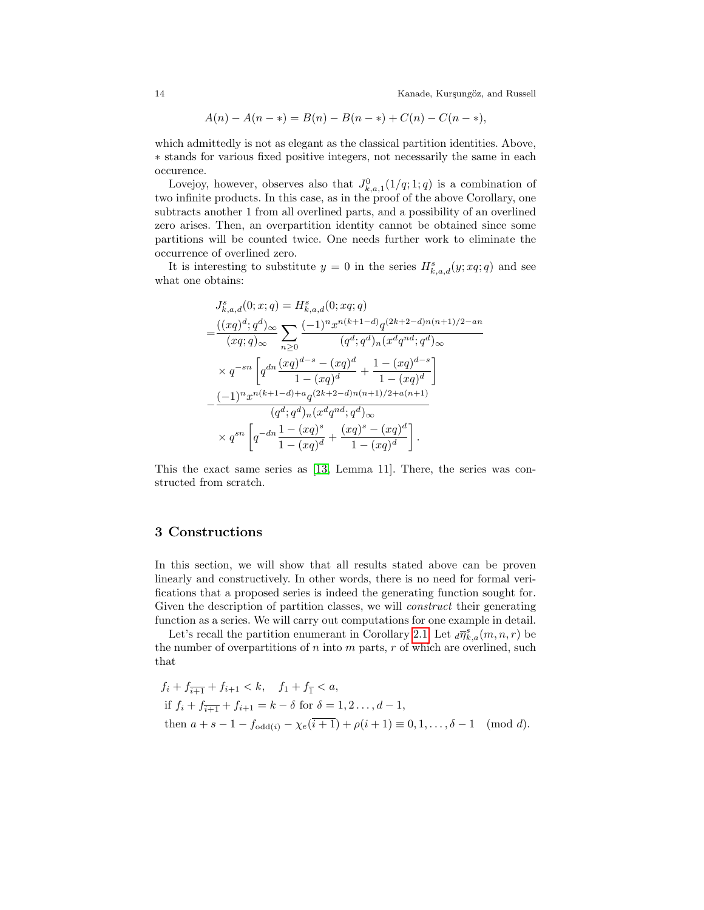$$
A(n) - A(n - *) = B(n) - B(n - *) + C(n) - C(n - *),
$$

which admittedly is not as elegant as the classical partition identities. Above, ∗ stands for various fixed positive integers, not necessarily the same in each occurence.

Lovejoy, however, observes also that  $J_{k,a,1}^0(1/q;1;q)$  is a combination of two infinite products. In this case, as in the proof of the above Corollary, one subtracts another 1 from all overlined parts, and a possibility of an overlined zero arises. Then, an overpartition identity cannot be obtained since some partitions will be counted twice. One needs further work to eliminate the occurrence of overlined zero.

It is interesting to substitute  $y = 0$  in the series  $H_{k,a,d}^s(y; xq;q)$  and see what one obtains:

$$
J_{k,a,d}^{s}(0;x;q) = H_{k,a,d}^{s}(0;xq;q)
$$
  
= 
$$
\frac{((xq)^{d};q^{d})_{\infty}}{(xq;q)_{\infty}} \sum_{n\geq 0} \frac{(-1)^{n}x^{n(k+1-d)}q^{(2k+2-d)n(n+1)/2-an}}{(q^{d};q^{d})_{n}(x^{d}q^{nd};q^{d})_{\infty}}
$$
  

$$
\times q^{-sn} \left[ q^{dn} \frac{(xq)^{d-s} - (xq)^{d}}{1 - (xq)^{d}} + \frac{1 - (xq)^{d-s}}{1 - (xq)^{d}} \right]
$$
  

$$
-\frac{(-1)^{n}x^{n(k+1-d)+a}q^{(2k+2-d)n(n+1)/2+a(n+1)}}{(q^{d};q^{d})_{n}(x^{d}q^{nd};q^{d})_{\infty}}
$$
  

$$
\times q^{sn} \left[ q^{-dn} \frac{1 - (xq)^{s}}{1 - (xq)^{d}} + \frac{(xq)^{s} - (xq)^{d}}{1 - (xq)^{d}} \right].
$$

This the exact same series as [\[13,](#page-26-12) Lemma 11]. There, the series was constructed from scratch.

#### <span id="page-13-0"></span>3 Constructions

In this section, we will show that all results stated above can be proven linearly and constructively. In other words, there is no need for formal verifications that a proposed series is indeed the generating function sought for. Given the description of partition classes, we will *construct* their generating function as a series. We will carry out computations for one example in detail.

Let's recall the partition enumerant in Corollary [2.1.](#page-12-0) Let  $_d\overline{\eta}_{k,a}^s(m,n,r)$  be the number of overpartitions of  $n$  into  $m$  parts,  $r$  of which are overlined, such that

$$
f_i + f_{\overline{i+1}} + f_{i+1} < k, \quad f_1 + f_{\overline{1}} < a,
$$
\n
$$
\text{if } f_i + f_{\overline{i+1}} + f_{i+1} = k - \delta \text{ for } \delta = 1, 2, \ldots, d - 1,
$$
\n
$$
\text{then } a + s - 1 - f_{\text{odd}(i)} - \chi_e(\overline{i+1}) + \rho(i+1) \equiv 0, 1, \ldots, \delta - 1 \pmod{d}.
$$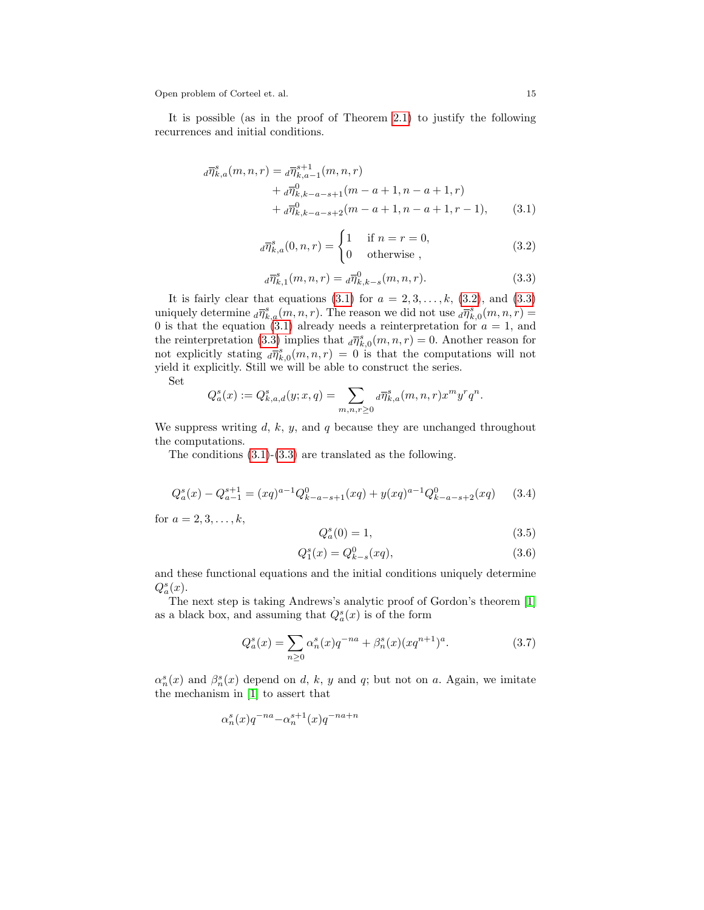It is possible (as in the proof of Theorem [2.1\)](#page-6-1) to justify the following recurrences and initial conditions.

$$
d\overline{\eta}_{k,a}^{s}(m,n,r) = d\overline{\eta}_{k,a-1}^{s+1}(m,n,r)
$$
  
+ 
$$
d\overline{\eta}_{k,k-a-s+1}^{0}(m-a+1,n-a+1,r)
$$
  
+ 
$$
d\overline{\eta}_{k,k-a-s+2}^{0}(m-a+1,n-a+1,r-1),
$$
 (3.1)

<span id="page-14-1"></span><span id="page-14-0"></span>
$$
d\overline{\eta}_{k,a}^{s}(0,n,r) = \begin{cases} 1 & \text{if } n = r = 0, \\ 0 & \text{otherwise} \end{cases}
$$
 (3.2)

<span id="page-14-2"></span>
$$
d\overline{\eta}_{k,1}^{s}(m,n,r) = d\overline{\eta}_{k,k-s}^{0}(m,n,r).
$$
 (3.3)

It is fairly clear that equations  $(3.1)$  for  $a = 2, 3, \ldots, k, (3.2)$  $a = 2, 3, \ldots, k, (3.2)$ , and  $(3.3)$ uniquely determine  $_d\bar{\eta}_{k,a}^s(m,n,r)$ . The reason we did not use  $_d\bar{\eta}_{k,0}^s(m,n,r)$ 0 is that the equation [\(3.1\)](#page-14-0) already needs a reinterpretation for  $a = 1$ , and the reinterpretation [\(3.3\)](#page-14-2) implies that  $_d\overline{\eta}_{k,0}^s(m,n,r) = 0$ . Another reason for not explicitly stating  $_d\overline{\eta}_{k,0}^s(m,n,r) = 0$  is that the computations will not yield it explicitly. Still we will be able to construct the series.

Set

$$
Q_a^s(x):=Q^s_{k,a,d}(y;x,q)=\sum_{m,n,r\geq 0} {}_d\overline{\eta}^s_{k,a}(m,n,r)x^my^rq^n.
$$

We suppress writing  $d, k, y$ , and  $q$  because they are unchanged throughout the computations.

The conditions [\(3.1\)](#page-14-0)-[\(3.3\)](#page-14-2) are translated as the following.

<span id="page-14-3"></span>
$$
Q_a^s(x) - Q_{a-1}^{s+1} = (xq)^{a-1} Q_{k-a-s+1}^0(xq) + y(xq)^{a-1} Q_{k-a-s+2}^0(xq) \tag{3.4}
$$

for  $a = 2, 3, ..., k$ ,

<span id="page-14-4"></span>
$$
Q_a^s(0) = 1,\t\t(3.5)
$$

<span id="page-14-5"></span>
$$
Q_1^s(x) = Q_{k-s}^0(xq),
$$
\n(3.6)

and these functional equations and the initial conditions uniquely determine  $Q_a^s(x)$ .

The next step is taking Andrews's analytic proof of Gordon's theorem [\[1\]](#page-25-1) as a black box, and assuming that  $Q_a^s(x)$  is of the form

<span id="page-14-6"></span>
$$
Q_a^s(x) = \sum_{n\geq 0} \alpha_n^s(x) q^{-na} + \beta_n^s(x) (xq^{n+1})^a.
$$
 (3.7)

 $\alpha_n^s(x)$  and  $\beta_n^s(x)$  depend on d, k, y and q; but not on a. Again, we imitate the mechanism in [\[1\]](#page-25-1) to assert that

$$
\alpha_n^s(x)q^{-na}\!-\!\alpha_n^{s+1}(x)q^{-na+n}
$$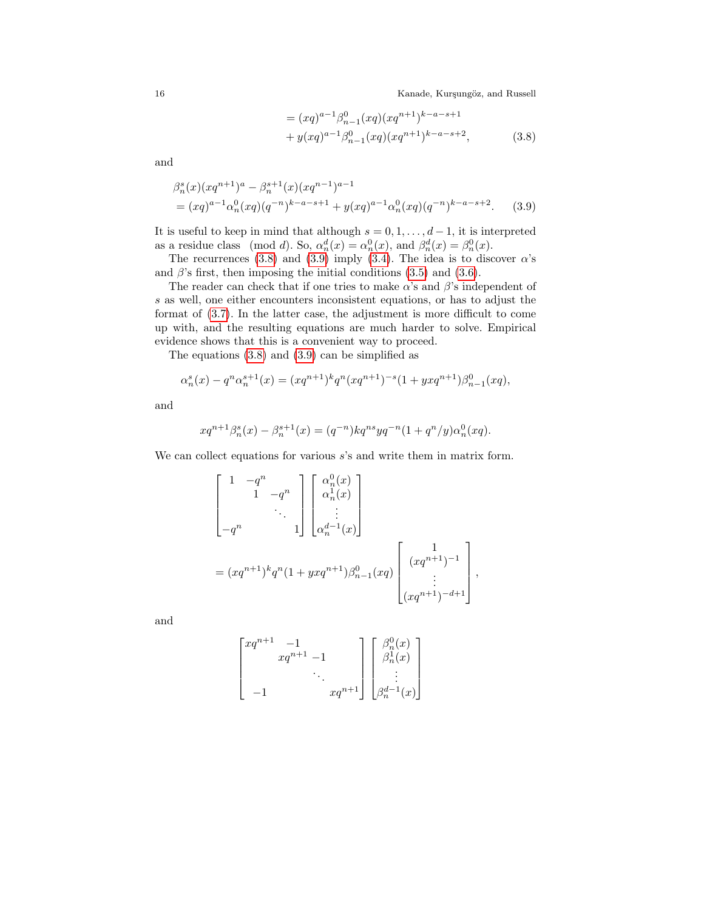<span id="page-15-1"></span><span id="page-15-0"></span>
$$
= (xq)^{a-1} \beta_{n-1}^0 (xq) (xq^{n+1})^{k-a-s+1}
$$
  
+  $y(xq)^{a-1} \beta_{n-1}^0 (xq) (xq^{n+1})^{k-a-s+2}$ , (3.8)

and

$$
\beta_n^s(x)(xq^{n+1})^a - \beta_n^{s+1}(x)(xq^{n-1})^{a-1}
$$
  
=  $(xq)^{a-1} \alpha_n^0(xq)(q^{-n})^{k-a-s+1} + y(xq)^{a-1} \alpha_n^0(xq)(q^{-n})^{k-a-s+2}.$  (3.9)

It is useful to keep in mind that although  $s = 0, 1, \ldots, d - 1$ , it is interpreted as a residue class (mod d). So,  $\alpha_n^d(x) = \alpha_n^0(x)$ , and  $\beta_n^d(x) = \beta_n^0(x)$ .

The recurrences [\(3.8\)](#page-15-0) and [\(3.9\)](#page-15-1) imply [\(3.4\)](#page-14-3). The idea is to discover  $\alpha$ 's and  $\beta$ 's first, then imposing the initial conditions [\(3.5\)](#page-14-4) and [\(3.6\)](#page-14-5).

The reader can check that if one tries to make  $\alpha$ 's and  $\beta$ 's independent of s as well, one either encounters inconsistent equations, or has to adjust the format of [\(3.7\)](#page-14-6). In the latter case, the adjustment is more difficult to come up with, and the resulting equations are much harder to solve. Empirical evidence shows that this is a convenient way to proceed.

The equations [\(3.8\)](#page-15-0) and [\(3.9\)](#page-15-1) can be simplified as

$$
\alpha_n^s(x) - q^n \alpha_n^{s+1}(x) = (xq^{n+1})^k q^n (xq^{n+1})^{-s} (1 + yxq^{n+1}) \beta_{n-1}^0(xq),
$$

and

$$
xq^{n+1}\beta_n^s(x) - \beta_n^{s+1}(x) = (q^{-n})kq^{ns}yq^{-n}(1+q^n/y)\alpha_n^0(xq).
$$

We can collect equations for various  $s$ 's and write them in matrix form.

$$
\begin{bmatrix} 1 & -q^{n} \\ & 1 & -q^{n} \\ & & \ddots \\ -q^{n} & & 1 \end{bmatrix} \begin{bmatrix} \alpha_{n}^{0}(x) \\ \alpha_{n}^{1}(x) \\ \vdots \\ \alpha_{n}^{d-1}(x) \end{bmatrix}
$$
  
=  $(xq^{n+1})^{k}q^{n}(1 + yxq^{n+1})\beta_{n-1}^{0}(xq) \begin{bmatrix} 1 \\ (xq^{n+1})^{-1} \\ \vdots \\ (xq^{n+1})^{-d+1} \end{bmatrix}$ ,

and

$$
\begin{bmatrix} xq^{n+1} & -1 & & \\ & xq^{n+1} & -1 & \\ & & \ddots & \\ & & & xq^{n+1} \end{bmatrix} \begin{bmatrix} \beta_n^0(x) \\ \beta_n^1(x) \\ \vdots \\ \beta_n^{d-1}(x) \end{bmatrix}
$$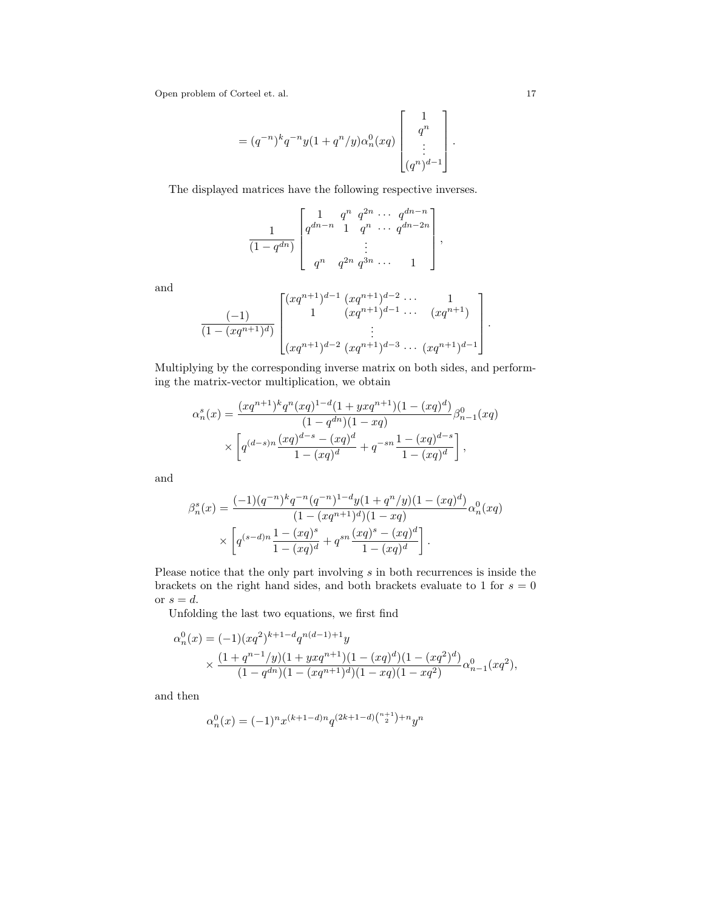$$
= (q^{-n})^k q^{-n} y (1 + q^n/y) \alpha_n^0(xq) \begin{bmatrix} 1 \\ q^n \\ \vdots \\ (q^n)^{d-1} \end{bmatrix}.
$$

The displayed matrices have the following respective inverses.

$$
\frac{1}{(1-q^{dn})}\begin{bmatrix} 1 & q^n & q^{2n} & \cdots & q^{dn-n} \\ q^{dn-n} & 1 & q^n & \cdots & q^{dn-2n} \\ & & \vdots & & \\ q^n & q^{2n} & q^{3n} & \cdots & 1 \end{bmatrix},
$$

and

$$
\frac{(-1)}{(1-(xq^{n+1})^d)}\begin{bmatrix} (xq^{n+1})^{d-1} (xq^{n+1})^{d-2} \cdots 1 \\ 1 (xq^{n+1})^{d-1} \cdots (xq^{n+1}) \\ \vdots \\ (xq^{n+1})^{d-2} (xq^{n+1})^{d-3} \cdots (xq^{n+1})^{d-1} \end{bmatrix}.
$$

Multiplying by the corresponding inverse matrix on both sides, and performing the matrix-vector multiplication, we obtain

$$
\alpha_n^s(x) = \frac{(xq^{n+1})^k q^n (xq)^{1-d} (1 + yxq^{n+1})(1 - (xq)^d)}{(1 - q^{dn})(1 - xq)} \beta_{n-1}^0(xq)
$$

$$
\times \left[ q^{(d-s)n} \frac{(xq)^{d-s} - (xq)^d}{1 - (xq)^d} + q^{-sn} \frac{1 - (xq)^{d-s}}{1 - (xq)^d} \right],
$$

and

$$
\beta_n^s(x) = \frac{(-1)(q^{-n})^k q^{-n} (q^{-n})^{1-d} y (1 + q^n/y)(1 - (xq)^d)}{(1 - (xq^{n+1})^d)(1 - xq)} \alpha_n^0(xq)
$$

$$
\times \left[ q^{(s-d)n} \frac{1 - (xq)^s}{1 - (xq)^d} + q^{sn} \frac{(xq)^s - (xq)^d}{1 - (xq)^d} \right].
$$

Please notice that the only part involving s in both recurrences is inside the brackets on the right hand sides, and both brackets evaluate to 1 for  $s = 0$ or  $s = d$ .

Unfolding the last two equations, we first find

$$
\alpha_n^0(x) = (-1)(xq^{2})^{k+1-d} q^{n(d-1)+1} y
$$
  
 
$$
\times \frac{(1+q^{n-1}/y)(1+yxq^{n+1})(1-(xq)^d)(1-(xq^{2})^d)}{(1-q^{dn})(1-(xq^{n+1})^d)(1-xq)(1-xq^2)} \alpha_{n-1}^0(xq^2),
$$

and then

$$
\alpha_n^0(x) = (-1)^n x^{(k+1-d)n} q^{(2k+1-d){{n+1} \choose 2} + n} y^n
$$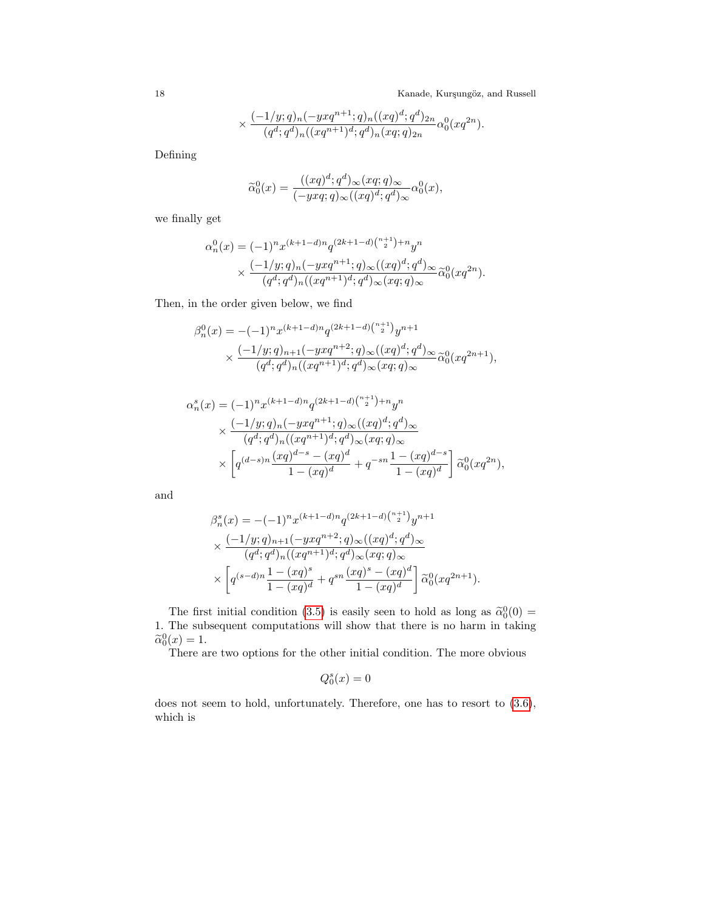$$
\times \frac{(-1/y;q)_n (-yxq^{n+1};q)_n ((xq)^d;q^d)_{2n}}{(q^d;q^d)_n ((xq^{n+1})^d;q^d)_n (xq;q)_{2n}}\alpha_0^0(xq^{2n}).
$$

Defining

$$
\widetilde{\alpha}_0^0(x) = \frac{((xq)^d; q^d)_{\infty}(xq; q)_{\infty}}{(-yxq; q)_{\infty}((xq)^d; q^d)_{\infty}} \alpha_0^0(x),
$$

we finally get

$$
\alpha_n^0(x) = (-1)^n x^{(k+1-d)n} q^{(2k+1-d) \binom{n+1}{2} + n} y^n
$$
  
 
$$
\times \frac{(-1/y; q)_n (-yxq^{n+1}; q)_{\infty} ((xq)^d; q^d)_{\infty}}{(q^d; q^d)_n ((xq^{n+1})^d; q^d)_{\infty} (xq; q)_{\infty}} \widetilde{\alpha}_0^0(xq^{2n}).
$$

Then, in the order given below, we find

$$
\beta_n^0(x) = -(-1)^n x^{(k+1-d)n} q^{(2k+1-d){{n+1}\choose 2}} y^{n+1}
$$
  
 
$$
\times \frac{(-1/y;q)_{n+1}(-yxq^{n+2};q)_{\infty}((xq)^d;q^d)_{\infty}}{(q^d;q^d)_n((xq^{n+1})^d;q^d)_{\infty}(xq;q)_{\infty}} \tilde{\alpha}_0^0(xq^{2n+1}),
$$

$$
\alpha_n^s(x) = (-1)^n x^{(k+1-d)n} q^{(2k+1-d) \binom{n+1}{2} + n} y^n
$$
  
\n
$$
\times \frac{(-1/y; q)_n (-yxq^{n+1}; q)_{\infty} ((xq)^d; q^d)_{\infty}}{(q^d; q^d)_n ((xq^{n+1})^d; q^d)_{\infty} (xq; q)_{\infty}}
$$
  
\n
$$
\times \left[ q^{(d-s)n} \frac{(xq)^{d-s} - (xq)^d}{1 - (xq)^d} + q^{-sn} \frac{1 - (xq)^{d-s}}{1 - (xq)^d} \right] \tilde{\alpha}_0^0(xq^{2n}),
$$

and

$$
\beta_n^s(x) = -(-1)^n x^{(k+1-d)n} q^{(2k+1-d) \binom{n+1}{2}} y^{n+1}
$$
  

$$
\times \frac{(-1/y;q)_{n+1}(-yxq^{n+2};q)_{\infty}((xq)^d;q^d)_{\infty}}{(q^d;q^d)_n((xq^{n+1})^d;q^d)_{\infty}(xq;q)_{\infty}}
$$
  

$$
\times \left[ q^{(s-d)n} \frac{1-(xq)^s}{1-(xq)^d} + q^{sn} \frac{(xq)^s-(xq)^d}{1-(xq)^d} \right] \widetilde{\alpha}_0^0(xq^{2n+1}).
$$

The first initial condition [\(3.5\)](#page-14-4) is easily seen to hold as long as  $\tilde{\alpha}_0^0(0)$  = 1. The subsequent computations will show that there is no harm in taking  $\widetilde{\alpha}_0^0(x) = 1.$ <br>There e

There are two options for the other initial condition. The more obvious

$$
Q_0^s(x) = 0
$$

does not seem to hold, unfortunately. Therefore, one has to resort to  $(3.6)$ , which is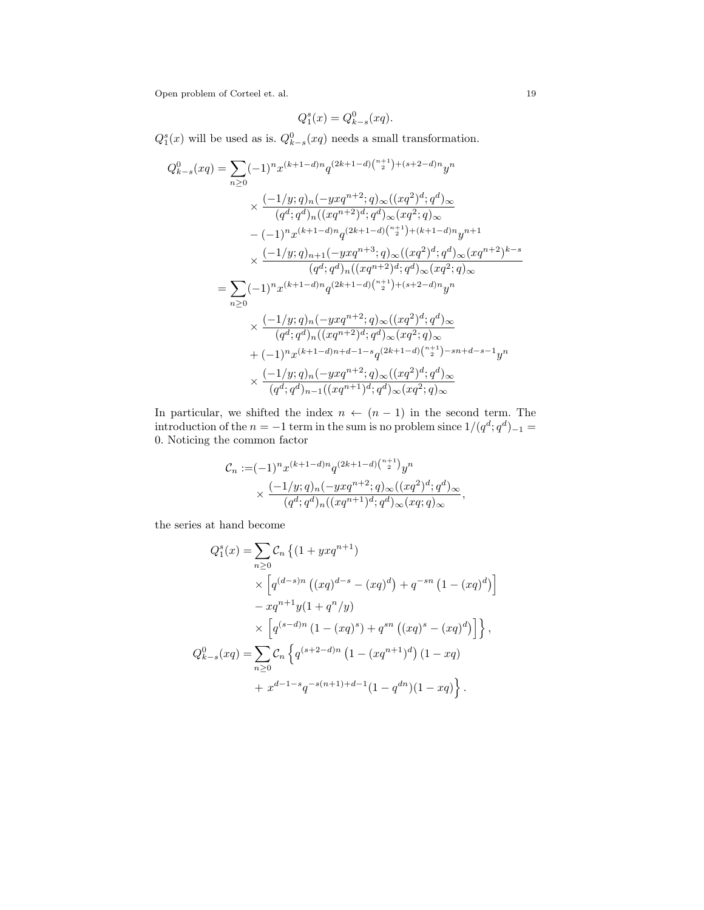$$
Q_1^s(x) = Q_{k-s}^0(xq).
$$

 $Q_1^s(x)$  will be used as is.  $Q_{k-s}^0(xq)$  needs a small transformation.

$$
Q_{k-s}^{0}(xq) = \sum_{n\geq 0} (-1)^{n} x^{(k+1-d)n} q^{(2k+1-d){{n+1}\choose{2}}+(s+2-d)n} y^{n}
$$
  

$$
\times \frac{(-1/y;q)_n(-yxq^{n+2};q)_\infty((xq^2)^d;q^d)_\infty}{(q^d;q^d)_n((xq^{n+2})^d;q^d)_\infty(xq^2;q)_\infty}
$$
  

$$
-(-1)^{n} x^{(k+1-d)n} q^{(2k+1-d){{n+1}\choose{2}}+(k+1-d)n} y^{n+1}
$$
  

$$
\times \frac{(-1/y;q)_{n+1}(-yxq^{n+3};q)_\infty((xq^2)^d;q^d)_\infty(xq^{n+2})^{k-s}}{(q^d;q^d)_n((xq^{n+2})^d;q^d)_\infty(xq^2;q)_\infty}
$$
  

$$
= \sum_{n\geq 0} (-1)^{n} x^{(k+1-d)n} q^{(2k+1-d){{n+1}\choose{2}}+(s+2-d)n} y^{n}
$$
  

$$
\times \frac{(-1/y;q)_n(-yxq^{n+2};q)_\infty((xq^2)^d;q^d)_\infty}{(q^d;q^d)_n((xq^{n+2})^d;q^d)_\infty(xq^2;q)_\infty}
$$
  

$$
+(-1)^{n} x^{(k+1-d)n+d-1-s} q^{(2k+1-d){{n+1}\choose{2}}-sn+d-s-1} y^{n}
$$
  

$$
\times \frac{(-1/y;q)_n(-yxq^{n+2};q)_\infty((xq^2)^d;q^d)_\infty}{(q^d;q^d)_{n-1}((xq^{n+1})^d;q^d)_\infty(xq^2;q)_\infty}
$$

In particular, we shifted the index  $n \leftarrow (n-1)$  in the second term. The  $\text{introduction of the } n = -1 \text{ term in the sum is no problem since } 1/(q^d; q^d)_{-1} =$ 0. Noticing the common factor

$$
\mathcal{C}_n := (-1)^n x^{(k+1-d)n} q^{(2k+1-d) \binom{n+1}{2}} y^n
$$
  
 
$$
\times \frac{(-1/y;q)_n (-yxq^{n+2};q)_{\infty} ((xq^2)^d;q^d)_{\infty}}{(q^d;q^d)_n ((xq^{n+1})^d;q^d)_{\infty} (xq;q)_{\infty}},
$$

the series at hand become

$$
Q_1^s(x) = \sum_{n\geq 0} C_n \left\{ (1 + yxq^{n+1}) \times \left[ q^{(d-s)n} \left( (xq)^{d-s} - (xq)^d \right) + q^{-sn} \left( 1 - (xq)^d \right) \right] \right\}
$$
  

$$
- xq^{n+1}y(1 + q^n/y)
$$
  

$$
\times \left[ q^{(s-d)n} \left( 1 - (xq)^s \right) + q^{sn} \left( (xq)^s - (xq)^d \right) \right] \right\},
$$
  

$$
Q_{k-s}^0(xq) = \sum_{n\geq 0} C_n \left\{ q^{(s+2-d)n} \left( 1 - (xq^{n+1})^d \right) (1 - xq) + x^{d-1-s}q^{-s(n+1)+d-1}(1 - q^{dn})(1 - xq) \right\}.
$$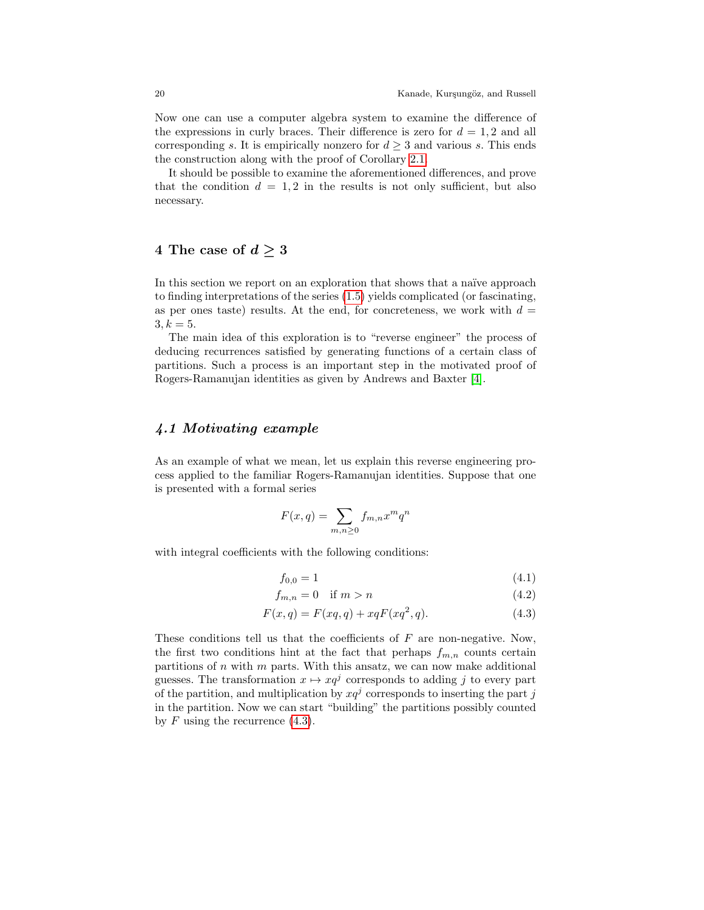Now one can use a computer algebra system to examine the difference of the expressions in curly braces. Their difference is zero for  $d = 1, 2$  and all corresponding s. It is empirically nonzero for  $d \geq 3$  and various s. This ends the construction along with the proof of Corollary [2.1.](#page-12-0)

It should be possible to examine the aforementioned differences, and prove that the condition  $d = 1, 2$  in the results is not only sufficient, but also necessary.

### <span id="page-19-0"></span>4 The case of  $d \geq 3$

In this section we report on an exploration that shows that a naïve approach to finding interpretations of the series [\(1.5\)](#page-5-0) yields complicated (or fascinating, as per ones taste) results. At the end, for concreteness, we work with  $d =$  $3, k = 5.$ 

The main idea of this exploration is to "reverse engineer" the process of deducing recurrences satisfied by generating functions of a certain class of partitions. Such a process is an important step in the motivated proof of Rogers-Ramanujan identities as given by Andrews and Baxter [\[4\]](#page-26-13).

#### 4.1 Motivating example

As an example of what we mean, let us explain this reverse engineering process applied to the familiar Rogers-Ramanujan identities. Suppose that one is presented with a formal series

$$
F(x,q) = \sum_{m,n \ge 0} f_{m,n} x^m q^n
$$

with integral coefficients with the following conditions:

<span id="page-19-1"></span>
$$
f_{0,0} = 1 \tag{4.1}
$$

$$
f_{m,n} = 0 \quad \text{if } m > n \tag{4.2}
$$

$$
F(x,q) = F(xq,q) + xqF(xq^2,q).
$$
 (4.3)

These conditions tell us that the coefficients of  $F$  are non-negative. Now, the first two conditions hint at the fact that perhaps  $f_{m,n}$  counts certain partitions of  $n$  with  $m$  parts. With this ansatz, we can now make additional guesses. The transformation  $x \mapsto xq^j$  corresponds to adding j to every part of the partition, and multiplication by  $xq^{j}$  corresponds to inserting the part j in the partition. Now we can start "building" the partitions possibly counted by  $F$  using the recurrence  $(4.3)$ .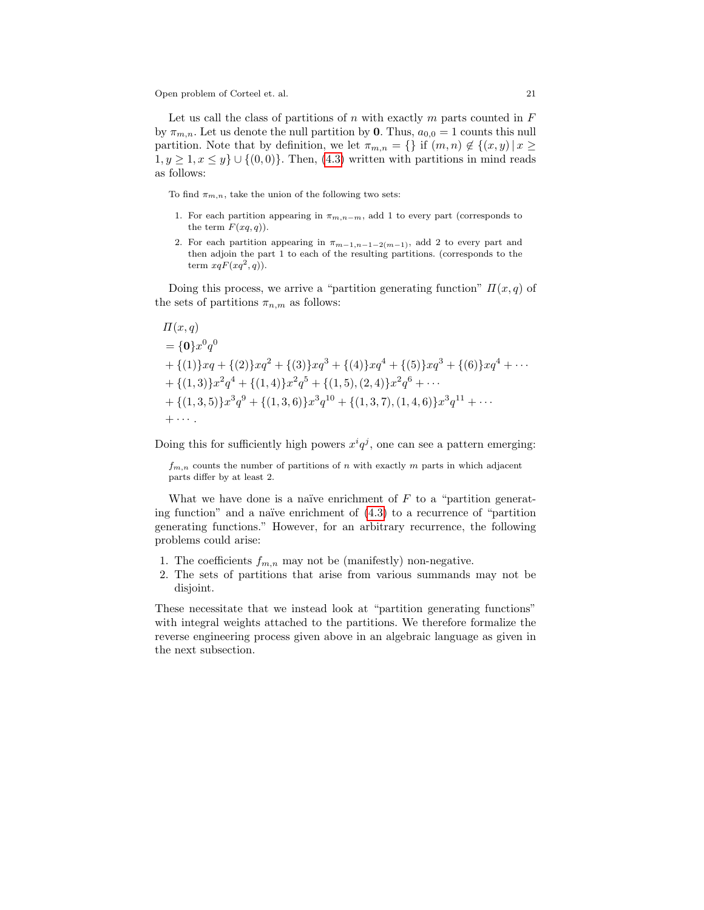Let us call the class of partitions of n with exactly m parts counted in  $F$ by  $\pi_{m,n}$ . Let us denote the null partition by **0**. Thus,  $a_{0,0} = 1$  counts this null partition. Note that by definition, we let  $\pi_{m,n} = \{\}\$ if  $(m,n) \notin \{(x,y) | x \geq 0\}$  $1, y \geq 1, x \leq y$   $\cup$  { $(0, 0)$ }. Then,  $(4.3)$  written with partitions in mind reads as follows:

To find  $\pi_{m,n}$ , take the union of the following two sets:

- 1. For each partition appearing in  $\pi_{m,n-m}$ , add 1 to every part (corresponds to the term  $F(xq, q)$ ).
- 2. For each partition appearing in  $\pi_{m-1,n-1-2(m-1)}$ , add 2 to every part and then adjoin the part 1 to each of the resulting partitions. (corresponds to the term  $xqF(xq^2, q)$ .

Doing this process, we arrive a "partition generating function"  $\Pi(x,q)$  of the sets of partitions  $\pi_{n,m}$  as follows:

$$
\Pi(x,q) = \{0\}x^{0}q^{0}
$$
\n
$$
+ \{(1)\}xq + \{(2)\}xq^{2} + \{(3)\}xq^{3} + \{(4)\}xq^{4} + \{(5)\}xq^{3} + \{(6)\}xq^{4} + \cdots
$$
\n
$$
+ \{(1,3)\}x^{2}q^{4} + \{(1,4)\}x^{2}q^{5} + \{(1,5),(2,4)\}x^{2}q^{6} + \cdots
$$
\n
$$
+ \{(1,3,5)\}x^{3}q^{9} + \{(1,3,6)\}x^{3}q^{10} + \{(1,3,7),(1,4,6)\}x^{3}q^{11} + \cdots
$$
\n
$$
+ \cdots
$$

Doing this for sufficiently high powers  $x^{i}q^{j}$ , one can see a pattern emerging:

 $f_{m,n}$  counts the number of partitions of n with exactly m parts in which adjacent parts differ by at least 2.

What we have done is a naïve enrichment of  $F$  to a "partition generating function" and a naïve enrichment of  $(4.3)$  to a recurrence of "partition" generating functions." However, for an arbitrary recurrence, the following problems could arise:

- 1. The coefficients  $f_{m,n}$  may not be (manifestly) non-negative.
- 2. The sets of partitions that arise from various summands may not be disjoint.

These necessitate that we instead look at "partition generating functions" with integral weights attached to the partitions. We therefore formalize the reverse engineering process given above in an algebraic language as given in the next subsection.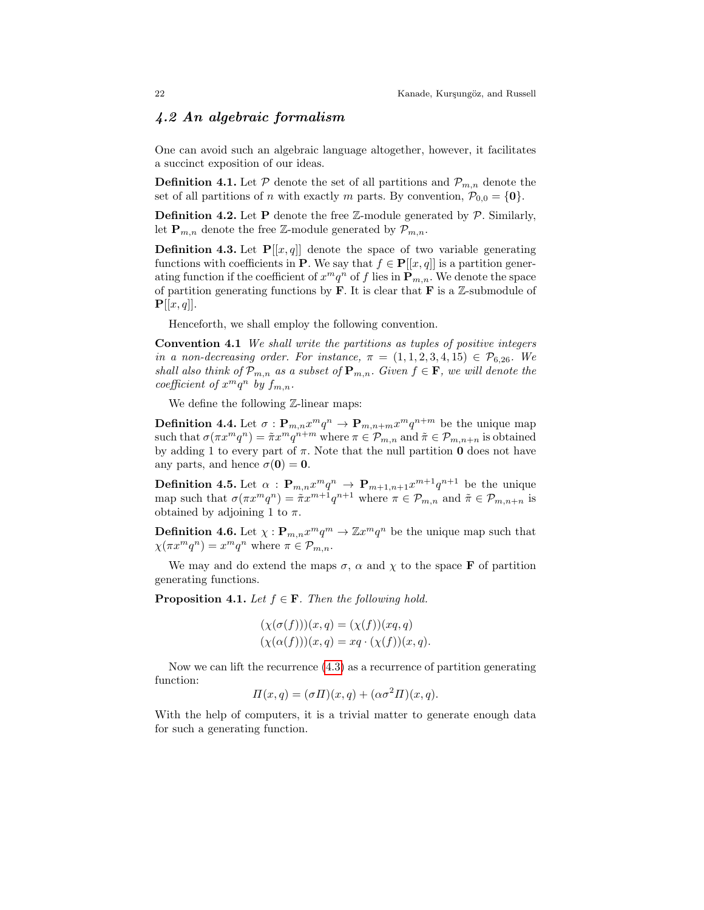#### <span id="page-21-0"></span>4.2 An algebraic formalism

One can avoid such an algebraic language altogether, however, it facilitates a succinct exposition of our ideas.

**Definition 4.1.** Let  $P$  denote the set of all partitions and  $P_{m,n}$  denote the set of all partitions of *n* with exactly *m* parts. By convention,  $\mathcal{P}_{0,0} = \{0\}.$ 

**Definition 4.2.** Let **P** denote the free  $\mathbb{Z}$ -module generated by  $\mathcal{P}$ . Similarly, let  $\mathbf{P}_{m,n}$  denote the free Z-module generated by  $\mathcal{P}_{m,n}$ .

**Definition 4.3.** Let  $P[[x, q]]$  denote the space of two variable generating functions with coefficients in **P**. We say that  $f \in \mathbf{P}[[x, q]]$  is a partition generating function if the coefficient of  $x^m q^n$  of f lies in  $\mathbf{P}_{m,n}$ . We denote the space of partition generating functions by  $\bf{F}$ . It is clear that  $\bf{F}$  is a  $\mathbb{Z}$ -submodule of  ${\bf P}[[x,q]].$ 

Henceforth, we shall employ the following convention.

Convention 4.1 We shall write the partitions as tuples of positive integers in a non-decreasing order. For instance,  $\pi = (1, 1, 2, 3, 4, 15) \in \mathcal{P}_{6.26}$ . We shall also think of  $\mathcal{P}_{m,n}$  as a subset of  $\mathbf{P}_{m,n}$ . Given  $f \in \mathbf{F}$ , we will denote the coefficient of  $x^mq^n$  by  $f_{m,n}$ .

We define the following  $\mathbb{Z}$ -linear maps:

**Definition 4.4.** Let  $\sigma: \mathbf{P}_{m,n} x^m q^n \to \mathbf{P}_{m,n+m} x^m q^{n+m}$  be the unique map such that  $\sigma(\pi x^m q^n) = \tilde{\pi} x^m q^{n+m}$  where  $\pi \in \mathcal{P}_{m,n}$  and  $\tilde{\pi} \in \mathcal{P}_{m,n+n}$  is obtained by adding 1 to every part of  $\pi$ . Note that the null partition **0** does not have any parts, and hence  $\sigma(0) = 0$ .

**Definition 4.5.** Let  $\alpha$ :  $\mathbf{P}_{m,n} x^m q^n \to \mathbf{P}_{m+1,n+1} x^{m+1} q^{n+1}$  be the unique map such that  $\sigma(\pi x^m q^n) = \tilde{\pi} x^{m+1} q^{n+1}$  where  $\pi \in \mathcal{P}_{m,n}$  and  $\tilde{\pi} \in \mathcal{P}_{m,n+n}$  is obtained by adjoining 1 to  $\pi$ .

**Definition 4.6.** Let  $\chi : \mathbf{P}_{m,n} x^m q^m \to \mathbb{Z} x^m q^n$  be the unique map such that  $\chi(\pi x^m q^n) = x^m q^n$  where  $\pi \in \mathcal{P}_{m,n}$ .

We may and do extend the maps  $\sigma$ ,  $\alpha$  and  $\chi$  to the space **F** of partition generating functions.

**Proposition 4.1.** Let  $f \in \mathbf{F}$ . Then the following hold.

$$
(\chi(\sigma(f)))(x,q) = (\chi(f))(xq,q)
$$
  

$$
(\chi(\alpha(f)))(x,q) = xq \cdot (\chi(f))(x,q).
$$

Now we can lift the recurrence [\(4.3\)](#page-19-1) as a recurrence of partition generating function:

$$
\Pi(x,q) = (\sigma \Pi)(x,q) + (\alpha \sigma^2 \Pi)(x,q).
$$

With the help of computers, it is a trivial matter to generate enough data for such a generating function.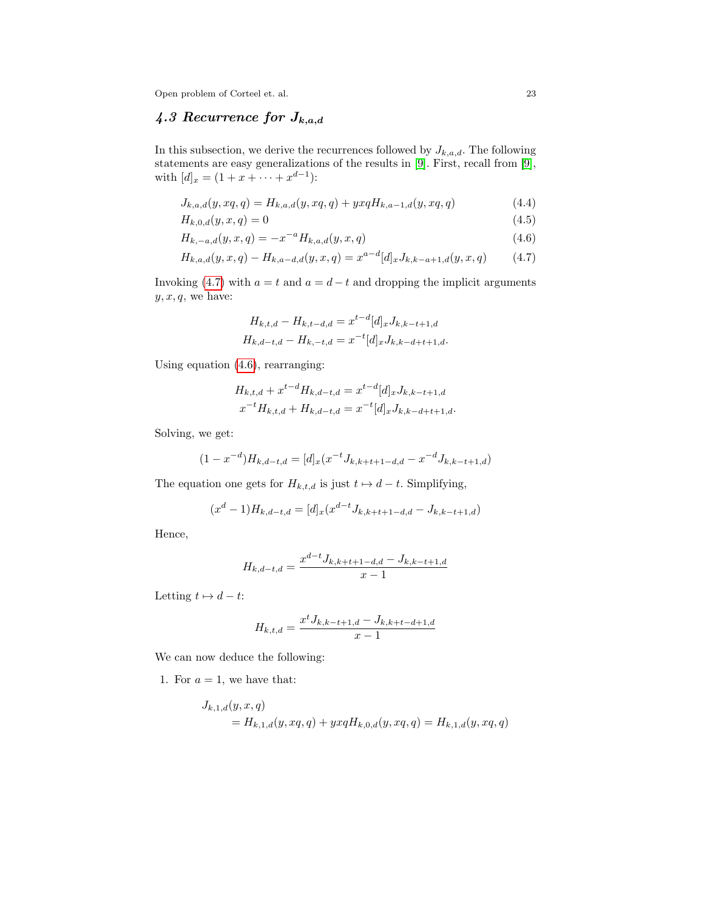### 4.3 Recurrence for  $J_{k,a,d}$

In this subsection, we derive the recurrences followed by  $J_{k,a,d}$ . The following statements are easy generalizations of the results in [\[9\]](#page-26-10). First, recall from [\[9\]](#page-26-10), with  $[d]_x = (1 + x + \cdots + x^{d-1})$ :

$$
J_{k,a,d}(y,xq,q) = H_{k,a,d}(y,xq,q) + yxqH_{k,a-1,d}(y,xq,q)
$$
\n(4.4)

$$
H_{k,0,d}(y,x,q) = 0 \tag{4.5}
$$

$$
H_{k,-a,d}(y,x,q) = -x^{-a}H_{k,a,d}(y,x,q)
$$
\n(4.6)

$$
H_{k,a,d}(y,x,q) - H_{k,a-d,d}(y,x,q) = x^{a-d}[d]_x J_{k,k-a+1,d}(y,x,q)
$$
(4.7)

Invoking [\(4.7\)](#page-22-0) with  $a = t$  and  $a = d - t$  and dropping the implicit arguments  $y, x, q$ , we have:

<span id="page-22-1"></span><span id="page-22-0"></span>
$$
H_{k,t,d} - H_{k,t-d,d} = x^{t-d} [d]_x J_{k,k-t+1,d}
$$
  

$$
H_{k,d-t,d} - H_{k,-t,d} = x^{-t} [d]_x J_{k,k-d+t+1,d}.
$$

Using equation [\(4.6\)](#page-22-1), rearranging:

$$
H_{k,t,d} + x^{t-d} H_{k,d-t,d} = x^{t-d} [d]_x J_{k,k-t+1,d}
$$
  

$$
x^{-t} H_{k,t,d} + H_{k,d-t,d} = x^{-t} [d]_x J_{k,k-d+t+1,d}.
$$

Solving, we get:

$$
(1 - x^{-d})H_{k,d-t,d} = [d]_x(x^{-t}J_{k,k+t+1-d,d} - x^{-d}J_{k,k-t+1,d})
$$

The equation one gets for  $H_{k,t,d}$  is just  $t \mapsto d - t$ . Simplifying,

$$
(xd - 1)Hk,d-t,d = [d]x(xd-tJk,k+t+1-d,d - Jk,k-t+1,d)
$$

Hence,

$$
H_{k,d-t,d} = \frac{x^{d-t} J_{k,k+t+1-d,d} - J_{k,k-t+1,d}}{x-1}
$$

Letting  $t \mapsto d - t$ :

$$
H_{k,t,d} = \frac{x^t J_{k,k-t+1,d} - J_{k,k+t-d+1,d}}{x-1}
$$

We can now deduce the following:

1. For  $a = 1$ , we have that:

$$
J_{k,1,d}(y,x,q)
$$
  
=  $H_{k,1,d}(y,xq,q) + yxqH_{k,0,d}(y,xq,q) = H_{k,1,d}(y,xq,q)$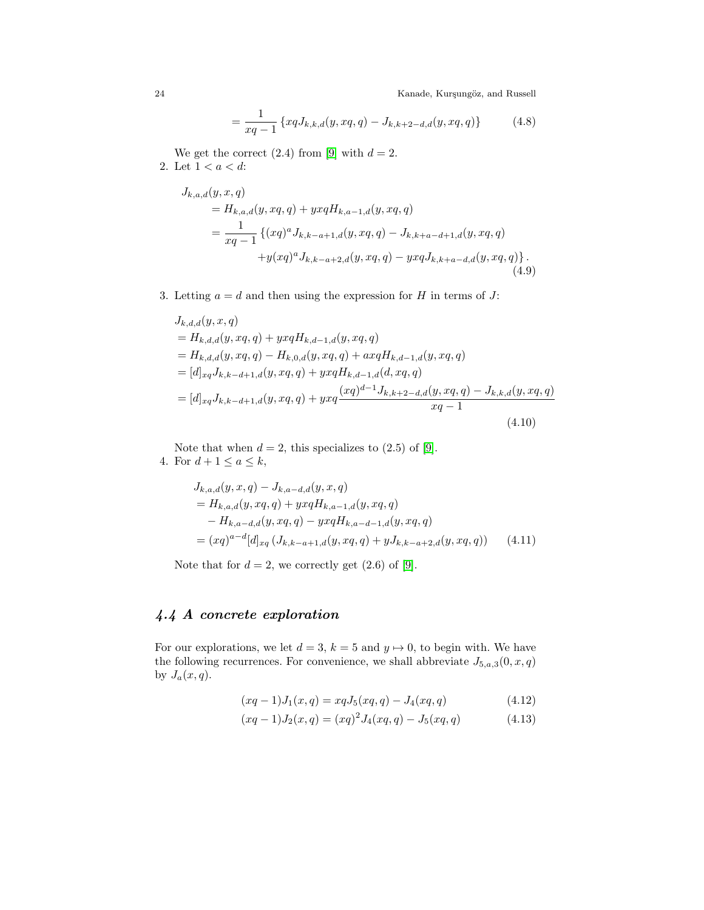<span id="page-23-1"></span>
$$
= \frac{1}{xq-1} \left\{ xqJ_{k,k,d}(y,xq,q) - J_{k,k+2-d,d}(y,xq,q) \right\}
$$
 (4.8)

We get the correct  $(2.4)$  from [\[9\]](#page-26-10) with  $d = 2$ . 2. Let  $1 < a < d$ :

$$
J_{k,a,d}(y, x, q)
$$
  
=  $H_{k,a,d}(y, xq, q) + yxqH_{k,a-1,d}(y, xq, q)$   
= 
$$
\frac{1}{xq-1} \{(xq)^a J_{k,k-a+1,d}(y, xq, q) - J_{k,k+a-d+1,d}(y, xq, q) + y(xq)^a J_{k,k-a+2,d}(y, xq, q) - yxqJ_{k,k+a-d,d}(y, xq, q)\}.
$$
  
(4.9)

3. Letting  $a = d$  and then using the expression for H in terms of J:

$$
J_{k,d,d}(y, x, q)
$$
  
=  $H_{k,d,d}(y, xq, q) + yxqH_{k,d-1,d}(y, xq, q)$   
=  $H_{k,d,d}(y, xq, q) - H_{k,0,d}(y, xq, q) + axqH_{k,d-1,d}(y, xq, q)$   
=  $[d]_{xq}J_{k,k-d+1,d}(y, xq, q) + yxqH_{k,d-1,d}(d, xq, q)$   
=  $[d]_{xq}J_{k,k-d+1,d}(y, xq, q) + yxq\frac{(xq)^{d-1}J_{k,k+2-d,d}(y, xq, q) - J_{k,k,d}(y, xq, q)}{xq-1}$   
(4.10)

Note that when  $d = 2$ , this specializes to  $(2.5)$  of [\[9\]](#page-26-10). 4. For  $d+1 \leq a \leq k$ ,

$$
J_{k,a,d}(y, x, q) - J_{k,a-d,d}(y, x, q)
$$
  
=  $H_{k,a,d}(y, xq, q) + yxqH_{k,a-1,d}(y, xq, q)$   
 $- H_{k,a-d,d}(y, xq, q) - yxqH_{k,a-d-1,d}(y, xq, q)$   
=  $(xq)^{a-d}[d]_{xq} (J_{k,k-a+1,d}(y, xq, q) + yJ_{k,k-a+2,d}(y, xq, q))$  (4.11)

Note that for  $d = 2$ , we correctly get  $(2.6)$  of [\[9\]](#page-26-10).

## <span id="page-23-0"></span>4.4 A concrete exploration

For our explorations, we let  $d = 3$ ,  $k = 5$  and  $y \mapsto 0$ , to begin with. We have the following recurrences. For convenience, we shall abbreviate  $J_{5,a,3}(0, x, q)$ by  $J_a(x,q)$ .

<span id="page-23-2"></span>
$$
(xq - 1)J_1(x, q) = xqJ_5(xq, q) - J_4(xq, q)
$$
\n(4.12)

$$
(xq-1)J_2(x,q) = (xq)^2 J_4(xq,q) - J_5(xq,q)
$$
\n(4.13)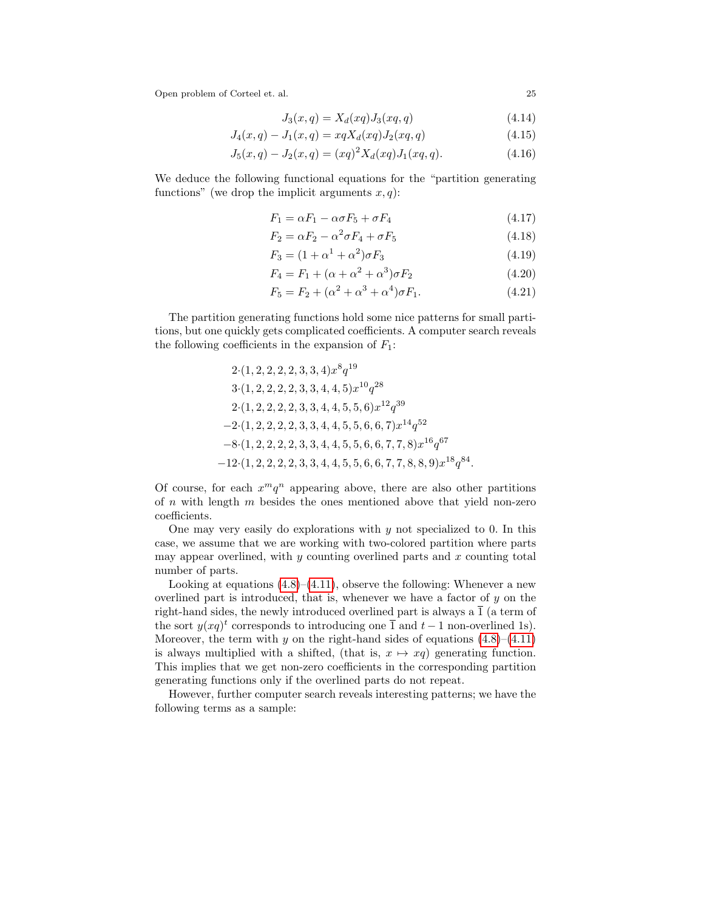$$
J_3(x,q) = X_d(xq)J_3(xq,q)
$$
\n(4.14)

$$
J_4(x,q) - J_1(x,q) = xqX_d(xq)J_2(xq,q)
$$
\n(4.15)

$$
J_5(x,q) - J_2(x,q) = (xq)^2 X_d(xq) J_1(xq,q).
$$
\n(4.16)

We deduce the following functional equations for the "partition generating functions" (we drop the implicit arguments  $x, q$ ):

$$
F_1 = \alpha F_1 - \alpha \sigma F_5 + \sigma F_4 \tag{4.17}
$$

$$
F_2 = \alpha F_2 - \alpha^2 \sigma F_4 + \sigma F_5 \tag{4.18}
$$

$$
F_3 = (1 + \alpha^1 + \alpha^2)\sigma F_3 \tag{4.19}
$$

$$
F_4 = F_1 + (\alpha + \alpha^2 + \alpha^3)\sigma F_2 \tag{4.20}
$$

$$
F_5 = F_2 + (\alpha^2 + \alpha^3 + \alpha^4)\sigma F_1.
$$
\n(4.21)

The partition generating functions hold some nice patterns for small partitions, but one quickly gets complicated coefficients. A computer search reveals the following coefficients in the expansion of  $F_1$ :

2.(1, 2, 2, 2, 2, 3, 3, 4)
$$
x^8q^{19}
$$
  
\n3.(1, 2, 2, 2, 2, 3, 3, 4, 4, 5) $x^{10}q^{28}$   
\n2.(1, 2, 2, 2, 2, 3, 3, 4, 4, 5, 5, 6) $x^{12}q^{39}$   
\n-2.(1, 2, 2, 2, 2, 3, 3, 4, 4, 5, 5, 6, 6, 7) $x^{14}q^{52}$   
\n-8.(1, 2, 2, 2, 2, 3, 3, 4, 4, 5, 5, 6, 6, 7, 7, 8) $x^{16}q^{67}$   
\n-12.(1, 2, 2, 2, 2, 3, 3, 4, 4, 5, 5, 6, 6, 7, 7, 8, 8, 9) $x^{18}q^{84}$ .

Of course, for each  $x^m q^n$  appearing above, there are also other partitions of  $n$  with length  $m$  besides the ones mentioned above that yield non-zero coefficients.

One may very easily do explorations with  $y$  not specialized to 0. In this case, we assume that we are working with two-colored partition where parts may appear overlined, with  $y$  counting overlined parts and  $x$  counting total number of parts.

Looking at equations  $(4.8)$ – $(4.11)$ , observe the following: Whenever a new overlined part is introduced, that is, whenever we have a factor of  $y$  on the right-hand sides, the newly introduced overlined part is always a  $\overline{1}$  (a term of the sort  $y(xq)^t$  corresponds to introducing one  $\overline{1}$  and  $t-1$  non-overlined 1s). Moreover, the term with y on the right-hand sides of equations  $(4.8)$ – $(4.11)$ is always multiplied with a shifted, (that is,  $x \mapsto xq$ ) generating function. This implies that we get non-zero coefficients in the corresponding partition generating functions only if the overlined parts do not repeat.

However, further computer search reveals interesting patterns; we have the following terms as a sample: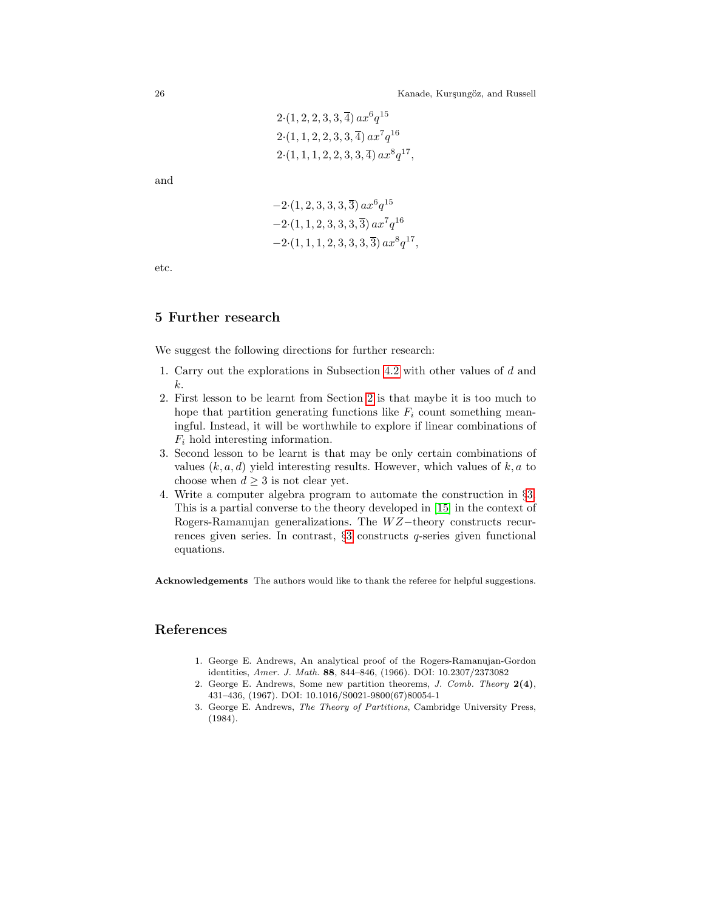$$
2 \cdot (1, 2, 2, 3, 3, \overline{4}) ax^{6} q^{15}
$$
  

$$
2 \cdot (1, 1, 2, 2, 3, 3, \overline{4}) ax^{7} q^{16}
$$
  

$$
2 \cdot (1, 1, 1, 2, 2, 3, 3, \overline{4}) ax^{8} q^{17},
$$

and

$$
-2 \cdot (1, 2, 3, 3, 3, \overline{3}) ax^{6} q^{15}
$$
  

$$
-2 \cdot (1, 1, 2, 3, 3, 3, \overline{3}) ax^{7} q^{16}
$$
  

$$
-2 \cdot (1, 1, 1, 2, 3, 3, 3, \overline{3}) ax^{8} q^{17},
$$

etc.

#### <span id="page-25-3"></span>5 Further research

We suggest the following directions for further research:

- 1. Carry out the explorations in Subsection [4.2](#page-21-0) with other values of d and k.
- 2. First lesson to be learnt from Section [2](#page-6-0) is that maybe it is too much to hope that partition generating functions like  $F_i$  count something meaningful. Instead, it will be worthwhile to explore if linear combinations of  $F_i$  hold interesting information.
- 3. Second lesson to be learnt is that may be only certain combinations of values  $(k, a, d)$  yield interesting results. However, which values of  $k, a$  to choose when  $d \geq 3$  is not clear yet.
- 4. Write a computer algebra program to automate the construction in §[3.](#page-13-0) This is a partial converse to the theory developed in [\[15\]](#page-26-14) in the context of Rogers-Ramanujan generalizations. The WZ-theory constructs recurrences given series. In contrast, §[3](#page-13-0) constructs q-series given functional equations.

Acknowledgements The authors would like to thank the referee for helpful suggestions.

#### <span id="page-25-1"></span>References

- 1. George E. Andrews, An analytical proof of the Rogers-Ramanujan-Gordon identities, Amer. J. Math. 88, 844–846, (1966). DOI: 10.2307/2373082
- <span id="page-25-2"></span>2. George E. Andrews, Some new partition theorems, J. Comb. Theory  $2(4)$ , 431–436, (1967). DOI: 10.1016/S0021-9800(67)80054-1
- <span id="page-25-0"></span>3. George E. Andrews, The Theory of Partitions, Cambridge University Press, (1984).